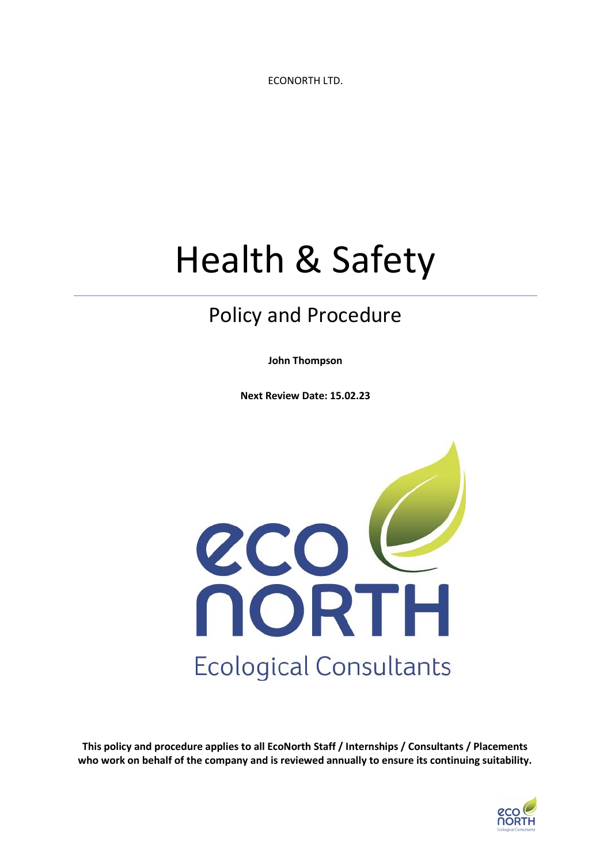ECONORTH LTD.

# Health & Safety

# Policy and Procedure

**John Thompson**

**Next Review Date: 15.02.23**



**This policy and procedure applies to all EcoNorth Staff / Internships / Consultants / Placements who work on behalf of the company and is reviewed annually to ensure its continuing suitability.**

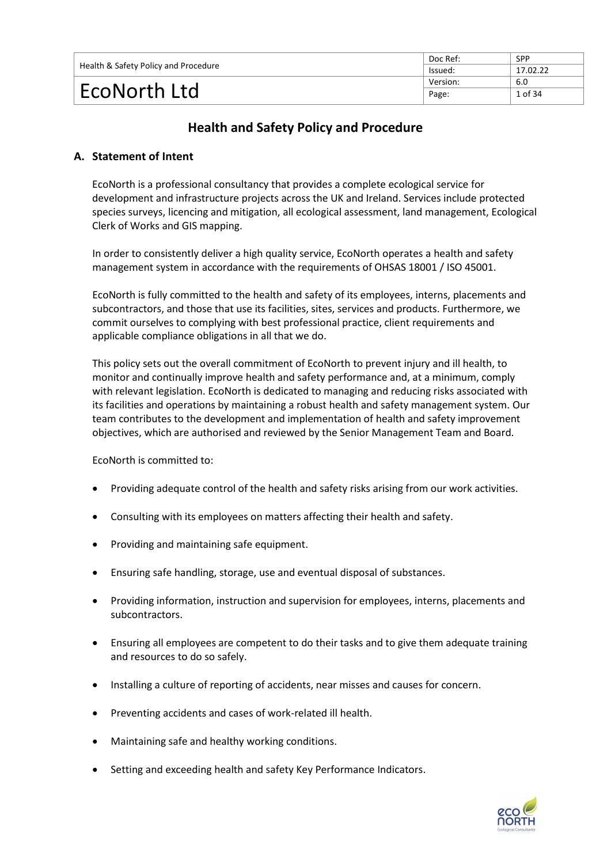|                                      | Doc Ref: | SPP      |
|--------------------------------------|----------|----------|
| Health & Safety Policy and Procedure | lssued:  | 17.02.22 |
|                                      | Version: | 6.0      |
| EcoNorth Ltd                         | Page:    | 1 of 34  |

# **Health and Safety Policy and Procedure**

# **A. Statement of Intent**

EcoNorth is a professional consultancy that provides a complete ecological service for development and infrastructure projects across the UK and Ireland. Services include protected species surveys, licencing and mitigation, all ecological assessment, land management, Ecological Clerk of Works and GIS mapping.

In order to consistently deliver a high quality service, EcoNorth operates a health and safety management system in accordance with the requirements of OHSAS 18001 / ISO 45001.

EcoNorth is fully committed to the health and safety of its employees, interns, placements and subcontractors, and those that use its facilities, sites, services and products. Furthermore, we commit ourselves to complying with best professional practice, client requirements and applicable compliance obligations in all that we do.

This policy sets out the overall commitment of EcoNorth to prevent injury and ill health, to monitor and continually improve health and safety performance and, at a minimum, comply with relevant legislation. EcoNorth is dedicated to managing and reducing risks associated with its facilities and operations by maintaining a robust health and safety management system. Our team contributes to the development and implementation of health and safety improvement objectives, which are authorised and reviewed by the Senior Management Team and Board.

EcoNorth is committed to:

- Providing adequate control of the health and safety risks arising from our work activities.
- Consulting with its employees on matters affecting their health and safety.
- Providing and maintaining safe equipment.
- Ensuring safe handling, storage, use and eventual disposal of substances.
- Providing information, instruction and supervision for employees, interns, placements and subcontractors.
- Ensuring all employees are competent to do their tasks and to give them adequate training and resources to do so safely.
- Installing a culture of reporting of accidents, near misses and causes for concern.
- Preventing accidents and cases of work-related ill health.
- Maintaining safe and healthy working conditions.
- Setting and exceeding health and safety Key Performance Indicators.

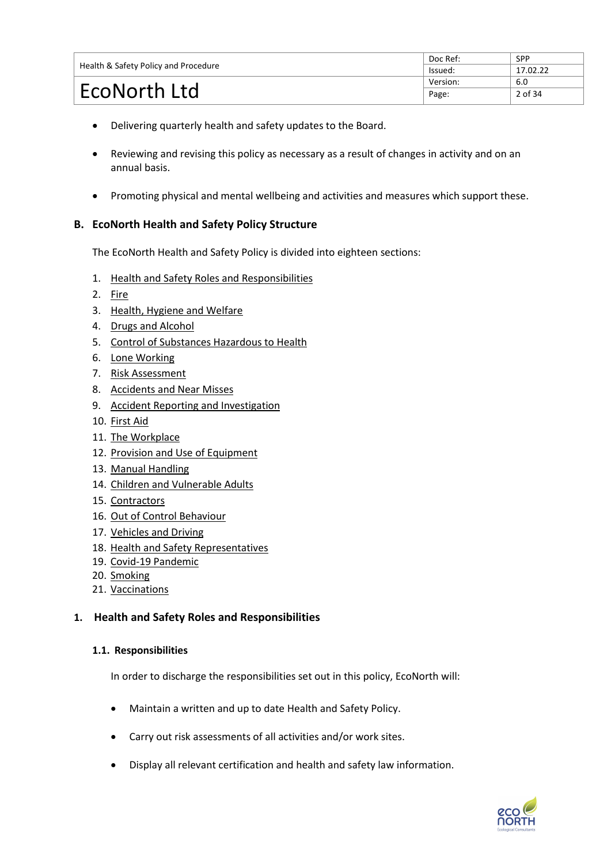|                                      | Doc Ref: | <b>SPP</b> |
|--------------------------------------|----------|------------|
| Health & Safety Policy and Procedure | lssued:  | 17.02.22   |
|                                      | Version: | 6.0        |
| EcoNorth Ltd                         | Page:    | 2 of 34    |

- Delivering quarterly health and safety updates to the Board.
- Reviewing and revising this policy as necessary as a result of changes in activity and on an annual basis.
- Promoting physical and mental wellbeing and activities and measures which support these.

# **B. EcoNorth Health and Safety Policy Structure**

The EcoNorth Health and Safety Policy is divided into eighteen sections:

- 1. [Health and Safety Roles and Responsibilities](#page-2-0)
- 2. [Fire](#page-8-0)
- 3. [Health, Hygiene and Welfare](#page-11-0)
- 4. [Drugs and Alcohol](#page-11-0)
- 5. [Control of Substances Hazardous to Health](#page-12-0)
- 6. [Lone Working](#page-15-0)
- 7. [Risk Assessment](#page-17-0)
- 8. [Accidents and Near Misses](#page-18-0)
- 9. [Accident Reporting and Investigation](#page-19-0)
- 10. [First Aid](#page-20-0)
- 11. [The Workplace](#page-21-0)
- 12. [Provision and Use of Equipment](#page-22-0)
- 13. [Manual Handling](#page-24-0)
- 14. [Children and Vulnerable Adults](#page-24-1)
- 15. [Contractors](#page-25-0)
- 16. [Out of Control Behaviour](#page-26-0)
- 17. Vehicles [and Driving](#page-27-0)
- 18. [Health and Safety Representatives](#page-29-0)
- 19. Covid-19 Pandemic
- 20. [Smoking](#page-32-0)
- 21. [Vaccinations](#page-33-0)

# **1. Health and Safety Roles and Responsibilities**

# **1.1. Responsibilities**

<span id="page-2-0"></span>In order to discharge the responsibilities set out in this policy, EcoNorth will:

- Maintain a written and up to date Health and Safety Policy.
- Carry out risk assessments of all activities and/or work sites.
- Display all relevant certification and health and safety law information.

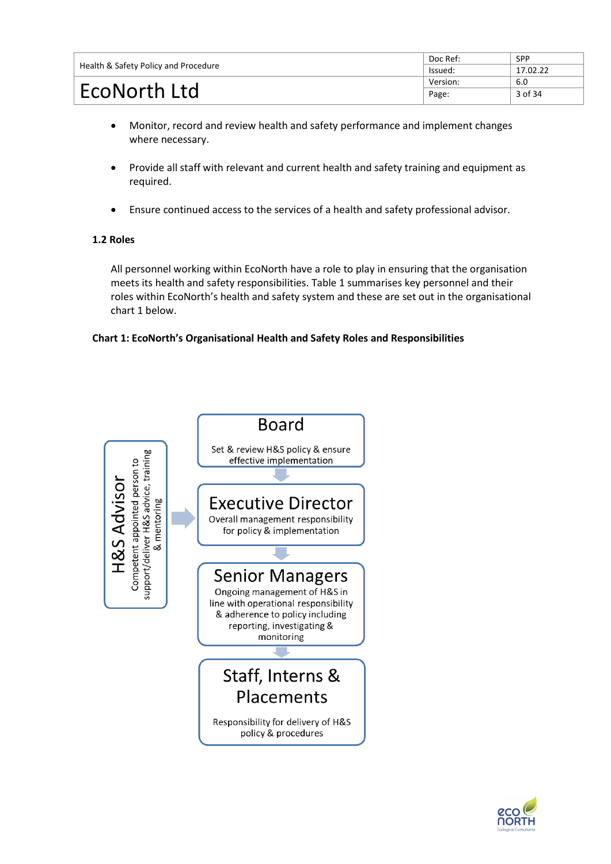|                                      | Doc Ref: | <b>SPP</b> |
|--------------------------------------|----------|------------|
| Health & Safety Policy and Procedure | lssued:  | 17.02.22   |
|                                      | Version: | 6.0        |
| EcoNorth Ltd                         | Page:    | 3 of 34    |

- Monitor, record and review health and safety performance and implement changes where necessary.
- Provide all staff with relevant and current health and safety training and equipment as required.
- Ensure continued access to the services of a health and safety professional advisor.

# **1.2 Roles**

All personnel working within EcoNorth have a role to play in ensuring that the organisation meets its health and safety responsibilities. Table 1 summarises key personnel and their roles within EcoNorth's health and safety system and these are set out in the organisational chart 1 below.

# **Chart 1: EcoNorth's Organisational Health and Safety Roles and Responsibilities**



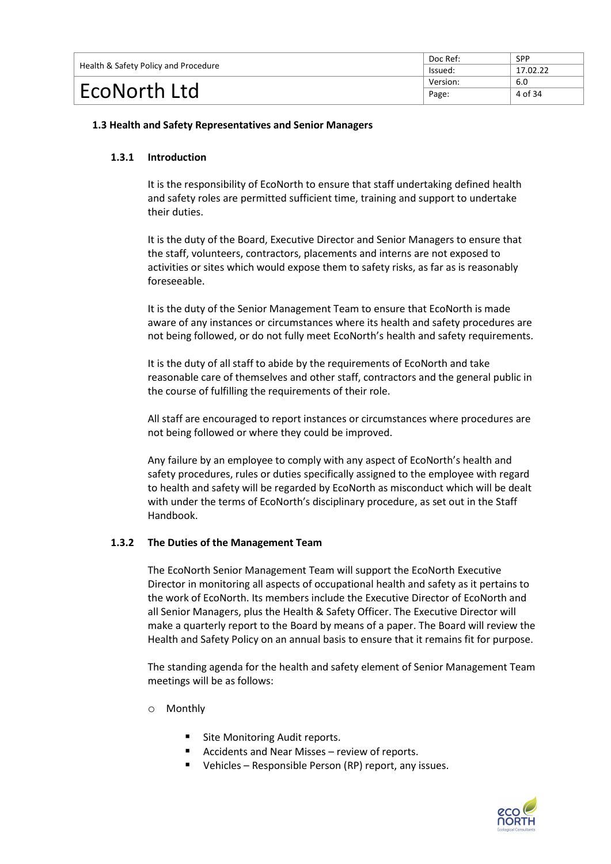|                                      | Doc Ref: | <b>SPP</b> |
|--------------------------------------|----------|------------|
| Health & Safety Policy and Procedure | lssued:  | 17.02.22   |
|                                      | Version: | 6.0        |
| EcoNorth Ltd                         | Page:    | 4 of 34    |

# **1.3 Health and Safety Representatives and Senior Managers**

# **1.3.1 Introduction**

It is the responsibility of EcoNorth to ensure that staff undertaking defined health and safety roles are permitted sufficient time, training and support to undertake their duties.

It is the duty of the Board, Executive Director and Senior Managers to ensure that the staff, volunteers, contractors, placements and interns are not exposed to activities or sites which would expose them to safety risks, as far as is reasonably foreseeable.

It is the duty of the Senior Management Team to ensure that EcoNorth is made aware of any instances or circumstances where its health and safety procedures are not being followed, or do not fully meet EcoNorth's health and safety requirements.

It is the duty of all staff to abide by the requirements of EcoNorth and take reasonable care of themselves and other staff, contractors and the general public in the course of fulfilling the requirements of their role.

All staff are encouraged to report instances or circumstances where procedures are not being followed or where they could be improved.

Any failure by an employee to comply with any aspect of EcoNorth's health and safety procedures, rules or duties specifically assigned to the employee with regard to health and safety will be regarded by EcoNorth as misconduct which will be dealt with under the terms of EcoNorth's disciplinary procedure, as set out in the Staff Handbook.

#### **1.3.2 The Duties of the Management Team**

The EcoNorth Senior Management Team will support the EcoNorth Executive Director in monitoring all aspects of occupational health and safety as it pertains to the work of EcoNorth. Its members include the Executive Director of EcoNorth and all Senior Managers, plus the Health & Safety Officer. The Executive Director will make a quarterly report to the Board by means of a paper. The Board will review the Health and Safety Policy on an annual basis to ensure that it remains fit for purpose.

The standing agenda for the health and safety element of Senior Management Team meetings will be as follows:

- o Monthly
	- Site Monitoring Audit reports.
	- Accidents and Near Misses review of reports.
	- Vehicles Responsible Person (RP) report, any issues.

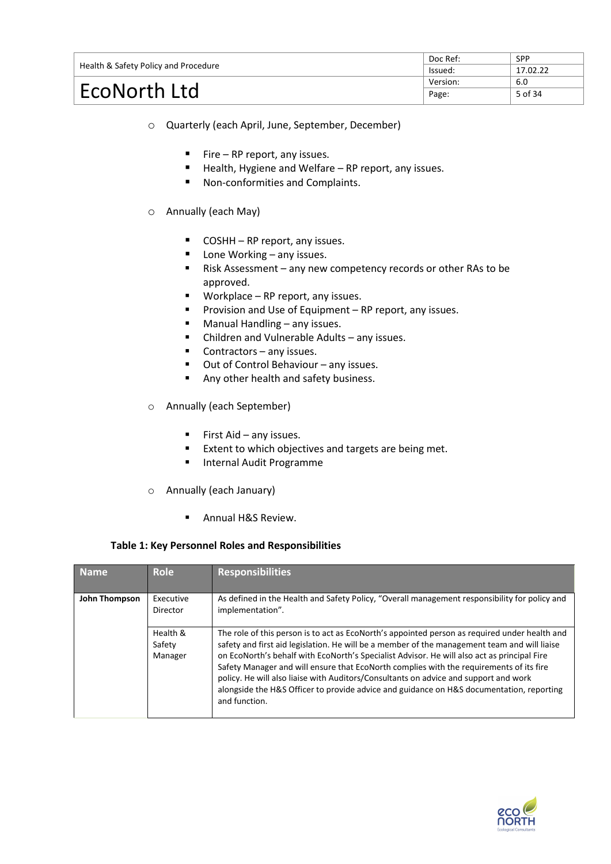|                                      | Doc Ref: | <b>SPP</b> |
|--------------------------------------|----------|------------|
| Health & Safety Policy and Procedure | lssued:  | 17.02.22   |
|                                      | Version: | 6.0        |
| EcoNorth Ltd                         | Page:    | 5 of 34    |

- o Quarterly (each April, June, September, December)
	- $\blacksquare$  Fire RP report, any issues.
	- Health, Hygiene and Welfare RP report, any issues.
	- Non-conformities and Complaints.
- o Annually (each May)
	- COSHH RP report, any issues.
	- Lone Working any issues.
	- Risk Assessment any new competency records or other RAs to be approved.
	- Workplace RP report, any issues.
	- Provision and Use of Equipment RP report, any issues.
	- Manual Handling any issues.
	- Children and Vulnerable Adults any issues.
	- Contractors any issues.
	- Out of Control Behaviour any issues.
	- Any other health and safety business.
- o Annually (each September)
	- $\blacksquare$  First Aid any issues.
	- Extent to which objectives and targets are being met.
	- Internal Audit Programme
- o Annually (each January)
	- Annual H&S Review.

#### **Table 1: Key Personnel Roles and Responsibilities**

| <b>Name</b>   | <b>Role</b>                   | <b>Responsibilities</b>                                                                                                                                                                                                                                                                                                                                                                                                                                                                                                                                                                      |
|---------------|-------------------------------|----------------------------------------------------------------------------------------------------------------------------------------------------------------------------------------------------------------------------------------------------------------------------------------------------------------------------------------------------------------------------------------------------------------------------------------------------------------------------------------------------------------------------------------------------------------------------------------------|
| John Thompson | Executive<br>Director         | As defined in the Health and Safety Policy, "Overall management responsibility for policy and<br>implementation".                                                                                                                                                                                                                                                                                                                                                                                                                                                                            |
|               | Health &<br>Safety<br>Manager | The role of this person is to act as EcoNorth's appointed person as required under health and<br>safety and first aid legislation. He will be a member of the management team and will liaise<br>on EcoNorth's behalf with EcoNorth's Specialist Advisor. He will also act as principal Fire<br>Safety Manager and will ensure that EcoNorth complies with the requirements of its fire<br>policy. He will also liaise with Auditors/Consultants on advice and support and work<br>alongside the H&S Officer to provide advice and guidance on H&S documentation, reporting<br>and function. |

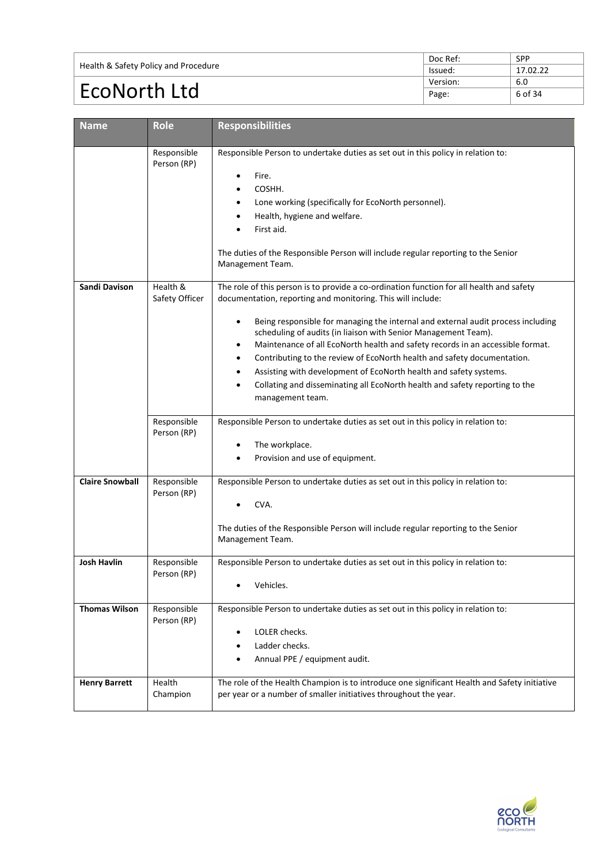|                                      | Doc Ref: | <b>SPP</b> |
|--------------------------------------|----------|------------|
| Health & Safety Policy and Procedure | lssued:  | 17.02.22   |
|                                      | Version: | 6.0        |
| EcoNorth Ltd                         | Page:    | 6 of 34    |

| <b>Name</b>            | <b>Role</b>                | <b>Responsibilities</b>                                                                                                                                                                                                                                                                                                                                                                                                                                                                                                                                                                                                                                              |
|------------------------|----------------------------|----------------------------------------------------------------------------------------------------------------------------------------------------------------------------------------------------------------------------------------------------------------------------------------------------------------------------------------------------------------------------------------------------------------------------------------------------------------------------------------------------------------------------------------------------------------------------------------------------------------------------------------------------------------------|
|                        | Responsible<br>Person (RP) | Responsible Person to undertake duties as set out in this policy in relation to:<br>Fire.<br>COSHH.<br>Lone working (specifically for EcoNorth personnel).<br>Health, hygiene and welfare.<br>First aid.<br>The duties of the Responsible Person will include regular reporting to the Senior<br>Management Team.                                                                                                                                                                                                                                                                                                                                                    |
| <b>Sandi Davison</b>   | Health &<br>Safety Officer | The role of this person is to provide a co-ordination function for all health and safety<br>documentation, reporting and monitoring. This will include:<br>Being responsible for managing the internal and external audit process including<br>$\bullet$<br>scheduling of audits (in liaison with Senior Management Team).<br>Maintenance of all EcoNorth health and safety records in an accessible format.<br>٠<br>Contributing to the review of EcoNorth health and safety documentation.<br>Assisting with development of EcoNorth health and safety systems.<br>Collating and disseminating all EcoNorth health and safety reporting to the<br>management team. |
|                        | Responsible<br>Person (RP) | Responsible Person to undertake duties as set out in this policy in relation to:<br>The workplace.<br>$\bullet$<br>Provision and use of equipment.<br>$\bullet$                                                                                                                                                                                                                                                                                                                                                                                                                                                                                                      |
| <b>Claire Snowball</b> | Responsible<br>Person (RP) | Responsible Person to undertake duties as set out in this policy in relation to:<br>CVA.<br>The duties of the Responsible Person will include regular reporting to the Senior<br>Management Team.                                                                                                                                                                                                                                                                                                                                                                                                                                                                    |
| <b>Josh Havlin</b>     | Responsible<br>Person (RP) | Responsible Person to undertake duties as set out in this policy in relation to:<br>Vehicles.<br>٠                                                                                                                                                                                                                                                                                                                                                                                                                                                                                                                                                                   |
| <b>Thomas Wilson</b>   | Responsible<br>Person (RP) | Responsible Person to undertake duties as set out in this policy in relation to:<br>LOLER checks.<br>$\bullet$<br>Ladder checks.<br>Annual PPE / equipment audit.                                                                                                                                                                                                                                                                                                                                                                                                                                                                                                    |
| <b>Henry Barrett</b>   | Health<br>Champion         | The role of the Health Champion is to introduce one significant Health and Safety initiative<br>per year or a number of smaller initiatives throughout the year.                                                                                                                                                                                                                                                                                                                                                                                                                                                                                                     |

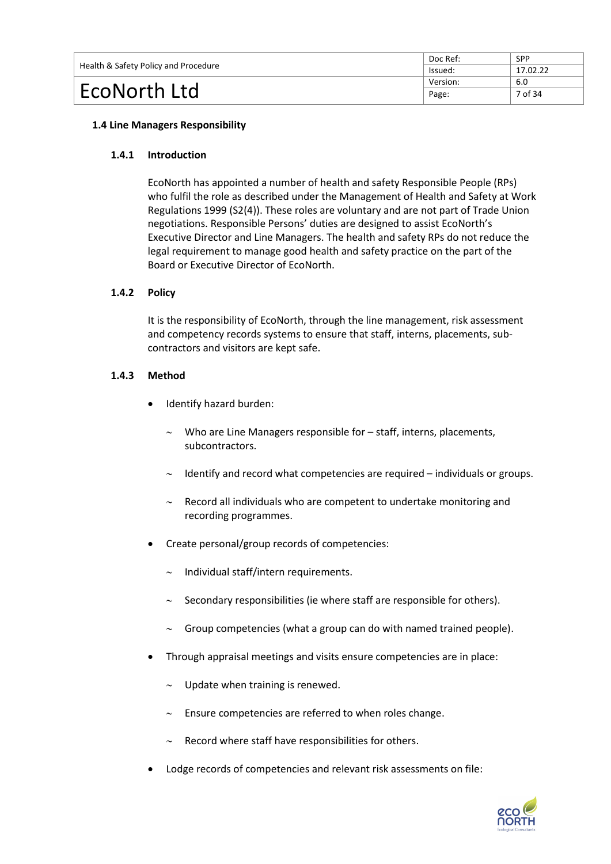|                                      | Doc Ref: | <b>SPP</b> |
|--------------------------------------|----------|------------|
| Health & Safety Policy and Procedure | lssued:  | 17.02.22   |
|                                      | Version: | 6.0        |
| EcoNorth Ltd                         | Page:    | 7 of 34    |

# **1.4 Line Managers Responsibility**

#### **1.4.1 Introduction**

EcoNorth has appointed a number of health and safety Responsible People (RPs) who fulfil the role as described under the Management of Health and Safety at Work Regulations 1999 (S2(4)). These roles are voluntary and are not part of Trade Union negotiations. Responsible Persons' duties are designed to assist EcoNorth's Executive Director and Line Managers. The health and safety RPs do not reduce the legal requirement to manage good health and safety practice on the part of the Board or Executive Director of EcoNorth.

#### **1.4.2 Policy**

It is the responsibility of EcoNorth, through the line management, risk assessment and competency records systems to ensure that staff, interns, placements, subcontractors and visitors are kept safe.

#### **1.4.3 Method**

- Identify hazard burden:
	- $\sim$  Who are Line Managers responsible for  $-$  staff, interns, placements, subcontractors.
	- $\sim$  Identify and record what competencies are required individuals or groups.
	- $\sim$  Record all individuals who are competent to undertake monitoring and recording programmes.
- Create personal/group records of competencies:
	- $\sim$  Individual staff/intern requirements.
	- $\sim$  Secondary responsibilities (ie where staff are responsible for others).
	- $\sim$  Group competencies (what a group can do with named trained people).
- Through appraisal meetings and visits ensure competencies are in place:
	- $\sim$  Update when training is renewed.
	- $\sim$  Ensure competencies are referred to when roles change.
	- $\sim$  Record where staff have responsibilities for others.
- Lodge records of competencies and relevant risk assessments on file:

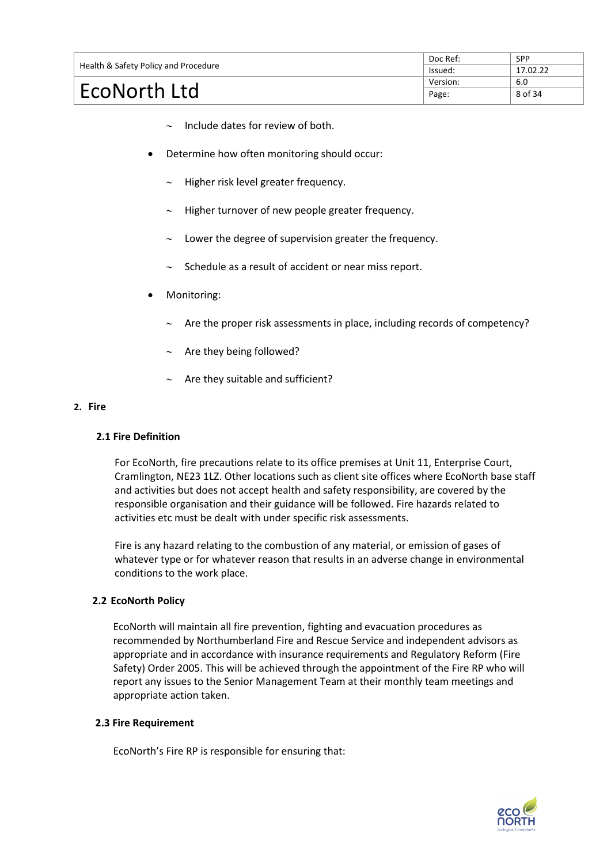|                                      | Doc Ref: | <b>SPP</b> |
|--------------------------------------|----------|------------|
| Health & Safety Policy and Procedure | lssued:  | 17.02.22   |
|                                      | Version: | 6.0        |
| EcoNorth Ltd                         | Page:    | 8 of 34    |

- $\sim$  Include dates for review of both.
- Determine how often monitoring should occur:
	- Higher risk level greater frequency.
	- $\sim$  Higher turnover of new people greater frequency.
	- $\sim$  Lower the degree of supervision greater the frequency.
	- $\sim$  Schedule as a result of accident or near miss report.
- Monitoring:
	- $\sim$  Are the proper risk assessments in place, including records of competency?
	- Are they being followed?
	- Are they suitable and sufficient?

#### <span id="page-8-0"></span>**2. Fire**

#### **2.1 Fire Definition**

For EcoNorth, fire precautions relate to its office premises at Unit 11, Enterprise Court, Cramlington, NE23 1LZ. Other locations such as client site offices where EcoNorth base staff and activities but does not accept health and safety responsibility, are covered by the responsible organisation and their guidance will be followed. Fire hazards related to activities etc must be dealt with under specific risk assessments.

Fire is any hazard relating to the combustion of any material, or emission of gases of whatever type or for whatever reason that results in an adverse change in environmental conditions to the work place.

# **2.2 EcoNorth Policy**

EcoNorth will maintain all fire prevention, fighting and evacuation procedures as recommended by Northumberland Fire and Rescue Service and independent advisors as appropriate and in accordance with insurance requirements and Regulatory Reform (Fire Safety) Order 2005. This will be achieved through the appointment of the Fire RP who will report any issues to the Senior Management Team at their monthly team meetings and appropriate action taken.

#### **2.3 Fire Requirement**

EcoNorth's Fire RP is responsible for ensuring that:

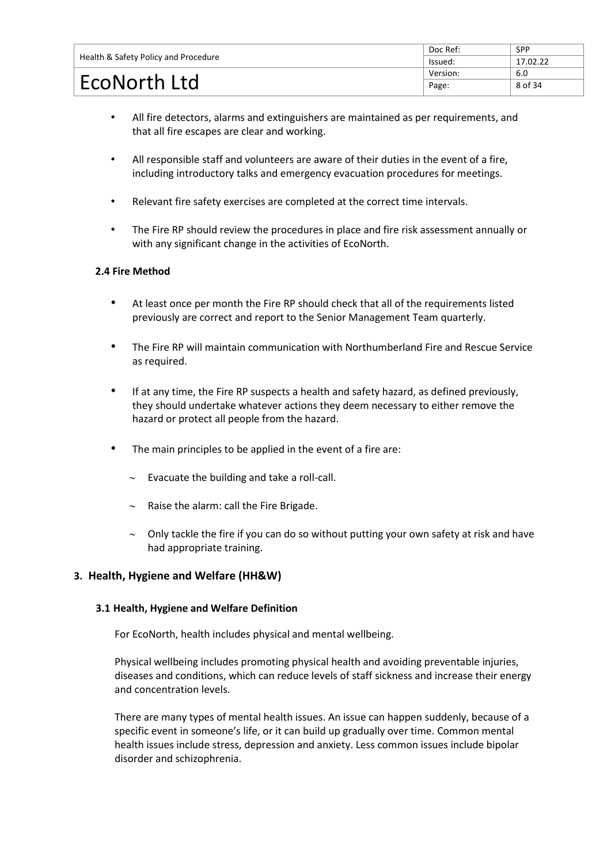|                                      | Doc Ref: | <b>SPP</b> |
|--------------------------------------|----------|------------|
| Health & Safety Policy and Procedure | Issued:  | 17.02.22   |
|                                      | Version: | 6.0        |
| EcoNorth Ltd                         | Page:    | 8 of 34    |

- All fire detectors, alarms and extinguishers are maintained as per requirements, and that all fire escapes are clear and working.
- All responsible staff and volunteers are aware of their duties in the event of a fire, including introductory talks and emergency evacuation procedures for meetings.
- Relevant fire safety exercises are completed at the correct time intervals.
- The Fire RP should review the procedures in place and fire risk assessment annually or with any significant change in the activities of EcoNorth.

# **2.4 Fire Method**

- At least once per month the Fire RP should check that all of the requirements listed previously are correct and report to the Senior Management Team quarterly.
- The Fire RP will maintain communication with Northumberland Fire and Rescue Service as required.
- If at any time, the Fire RP suspects a health and safety hazard, as defined previously, they should undertake whatever actions they deem necessary to either remove the hazard or protect all people from the hazard.
- The main principles to be applied in the event of a fire are:
	- $\sim$  Evacuate the building and take a roll-call.
	- $\sim$  Raise the alarm: call the Fire Brigade.
	- $\sim$  Only tackle the fire if you can do so without putting your own safety at risk and have had appropriate training.

# **3. Health, Hygiene and Welfare (HH&W)**

#### **3.1 Health, Hygiene and Welfare Definition**

For EcoNorth, health includes physical and mental wellbeing.

Physical wellbeing includes promoting physical health and avoiding preventable injuries, diseases and conditions, which can reduce levels of staff sickness and increase their energy and concentration levels.

There are many types of mental health issues. An issue can happen suddenly, because of a specific event in someone's life, or it can build up gradually over time. Common mental health issues include stress, depression and anxiety. Less common issues include bipolar disorder and schizophrenia.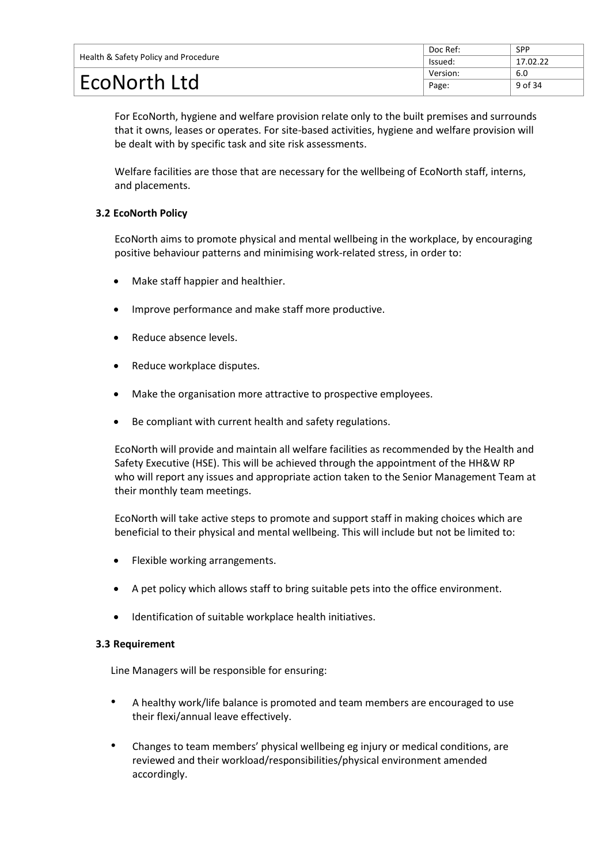|                                      | Doc Ref: | <b>SPP</b> |
|--------------------------------------|----------|------------|
| Health & Safety Policy and Procedure | lssued:  | 17.02.22   |
|                                      | Version: | 6.0        |
| EcoNorth Ltd                         | Page:    | 9 of 34    |

For EcoNorth, hygiene and welfare provision relate only to the built premises and surrounds that it owns, leases or operates. For site-based activities, hygiene and welfare provision will be dealt with by specific task and site risk assessments.

Welfare facilities are those that are necessary for the wellbeing of EcoNorth staff, interns, and placements.

# **3.2 EcoNorth Policy**

EcoNorth aims to promote physical and mental wellbeing in the workplace, by encouraging positive behaviour patterns and minimising work-related stress, in order to:

- Make staff happier and healthier.
- Improve performance and make staff more productive.
- Reduce absence levels.
- Reduce workplace disputes.
- Make the organisation more attractive to prospective employees.
- Be compliant with current health and safety regulations.

EcoNorth will provide and maintain all welfare facilities as recommended by the Health and Safety Executive (HSE). This will be achieved through the appointment of the HH&W RP who will report any issues and appropriate action taken to the Senior Management Team at their monthly team meetings.

EcoNorth will take active steps to promote and support staff in making choices which are beneficial to their physical and mental wellbeing. This will include but not be limited to:

- Flexible working arrangements.
- A pet policy which allows staff to bring suitable pets into the office environment.
- Identification of suitable workplace health initiatives.

# **3.3 Requirement**

Line Managers will be responsible for ensuring:

- A healthy work/life balance is promoted and team members are encouraged to use their flexi/annual leave effectively.
- Changes to team members' physical wellbeing eg injury or medical conditions, are reviewed and their workload/responsibilities/physical environment amended accordingly.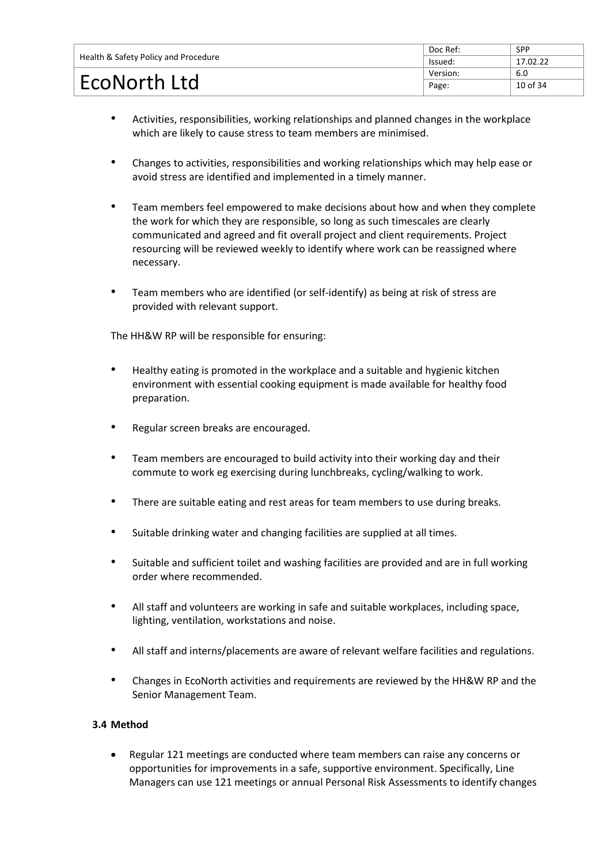|                                      | Doc Ref: | <b>SPP</b> |
|--------------------------------------|----------|------------|
| Health & Safety Policy and Procedure | lssued:  | 17.02.22   |
|                                      | Version: | 6.0        |
| EcoNorth Ltd                         | Page:    | 10 of 34   |

- Activities, responsibilities, working relationships and planned changes in the workplace which are likely to cause stress to team members are minimised.
- Changes to activities, responsibilities and working relationships which may help ease or avoid stress are identified and implemented in a timely manner.
- Team members feel empowered to make decisions about how and when they complete the work for which they are responsible, so long as such timescales are clearly communicated and agreed and fit overall project and client requirements. Project resourcing will be reviewed weekly to identify where work can be reassigned where necessary.
- Team members who are identified (or self-identify) as being at risk of stress are provided with relevant support.

The HH&W RP will be responsible for ensuring:

- Healthy eating is promoted in the workplace and a suitable and hygienic kitchen environment with essential cooking equipment is made available for healthy food preparation.
- Regular screen breaks are encouraged.
- Team members are encouraged to build activity into their working day and their commute to work eg exercising during lunchbreaks, cycling/walking to work.
- There are suitable eating and rest areas for team members to use during breaks.
- Suitable drinking water and changing facilities are supplied at all times.
- Suitable and sufficient toilet and washing facilities are provided and are in full working order where recommended.
- All staff and volunteers are working in safe and suitable workplaces, including space, lighting, ventilation, workstations and noise.
- All staff and interns/placements are aware of relevant welfare facilities and regulations.
- Changes in EcoNorth activities and requirements are reviewed by the HH&W RP and the Senior Management Team.

# <span id="page-11-0"></span>**3.4 Method**

• Regular 121 meetings are conducted where team members can raise any concerns or opportunities for improvements in a safe, supportive environment. Specifically, Line Managers can use 121 meetings or annual Personal Risk Assessments to identify changes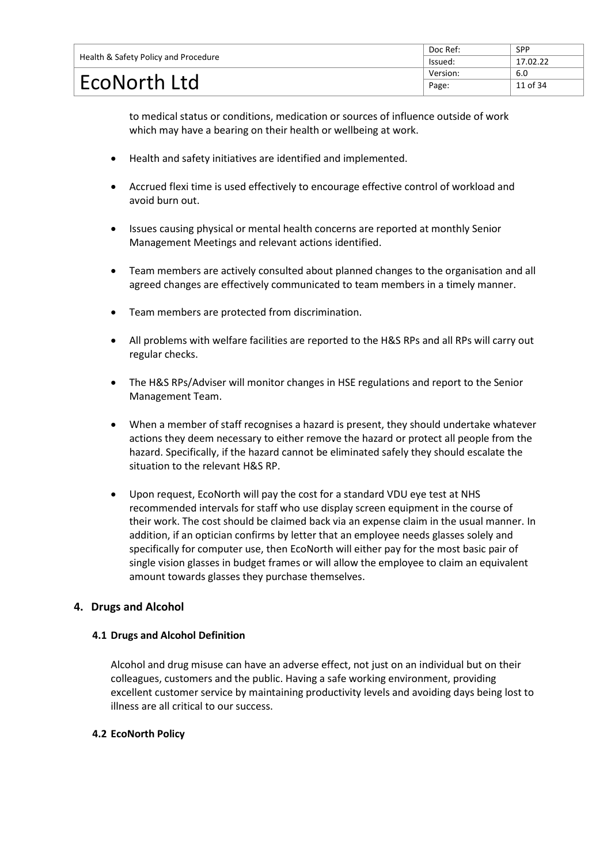|                                      | Doc Ref: | <b>SPP</b> |
|--------------------------------------|----------|------------|
| Health & Safety Policy and Procedure | lssued:  | 17.02.22   |
|                                      | Version: | 6.0        |
| EcoNorth Ltd                         | Page:    | 11 of 34   |

to medical status or conditions, medication or sources of influence outside of work which may have a bearing on their health or wellbeing at work.

- Health and safety initiatives are identified and implemented.
- Accrued flexi time is used effectively to encourage effective control of workload and avoid burn out.
- Issues causing physical or mental health concerns are reported at monthly Senior Management Meetings and relevant actions identified.
- Team members are actively consulted about planned changes to the organisation and all agreed changes are effectively communicated to team members in a timely manner.
- Team members are protected from discrimination.
- All problems with welfare facilities are reported to the H&S RPs and all RPs will carry out regular checks.
- The H&S RPs/Adviser will monitor changes in HSE regulations and report to the Senior Management Team.
- When a member of staff recognises a hazard is present, they should undertake whatever actions they deem necessary to either remove the hazard or protect all people from the hazard. Specifically, if the hazard cannot be eliminated safely they should escalate the situation to the relevant H&S RP.
- Upon request, EcoNorth will pay the cost for a standard VDU eye test at NHS recommended intervals for staff who use display screen equipment in the course of their work. The cost should be claimed back via an expense claim in the usual manner. In addition, if an optician confirms by letter that an employee needs glasses solely and specifically for computer use, then EcoNorth will either pay for the most basic pair of single vision glasses in budget frames or will allow the employee to claim an equivalent amount towards glasses they purchase themselves.

#### <span id="page-12-0"></span>**4. Drugs and Alcohol**

#### **4.1 Drugs and Alcohol Definition**

Alcohol and drug misuse can have an adverse effect, not just on an individual but on their colleagues, customers and the public. Having a safe working environment, providing excellent customer service by maintaining productivity levels and avoiding days being lost to illness are all critical to our success.

#### **4.2 EcoNorth Policy**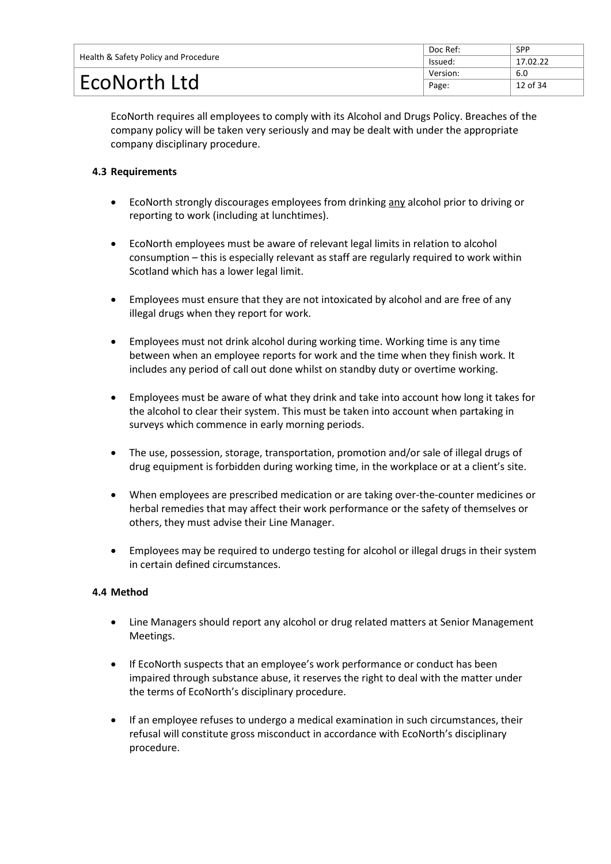|                                      | Doc Ref: | <b>SPP</b> |
|--------------------------------------|----------|------------|
| Health & Safety Policy and Procedure | lssued:  | 17.02.22   |
|                                      | Version: | 6.0        |
| <b>EcoNorth Ltd</b>                  | Page:    | 12 of 34   |

EcoNorth requires all employees to comply with its Alcohol and Drugs Policy. Breaches of the company policy will be taken very seriously and may be dealt with under the appropriate company disciplinary procedure.

# **4.3 Requirements**

- EcoNorth strongly discourages employees from drinking any alcohol prior to driving or reporting to work (including at lunchtimes).
- EcoNorth employees must be aware of relevant legal limits in relation to alcohol consumption – this is especially relevant as staff are regularly required to work within Scotland which has a lower legal limit.
- Employees must ensure that they are not intoxicated by alcohol and are free of any illegal drugs when they report for work.
- Employees must not drink alcohol during working time. Working time is any time between when an employee reports for work and the time when they finish work. It includes any period of call out done whilst on standby duty or overtime working.
- Employees must be aware of what they drink and take into account how long it takes for the alcohol to clear their system. This must be taken into account when partaking in surveys which commence in early morning periods.
- The use, possession, storage, transportation, promotion and/or sale of illegal drugs of drug equipment is forbidden during working time, in the workplace or at a client's site.
- When employees are prescribed medication or are taking over-the-counter medicines or herbal remedies that may affect their work performance or the safety of themselves or others, they must advise their Line Manager.
- Employees may be required to undergo testing for alcohol or illegal drugs in their system in certain defined circumstances.

- Line Managers should report any alcohol or drug related matters at Senior Management Meetings.
- If EcoNorth suspects that an employee's work performance or conduct has been impaired through substance abuse, it reserves the right to deal with the matter under the terms of EcoNorth's disciplinary procedure.
- If an employee refuses to undergo a medical examination in such circumstances, their refusal will constitute gross misconduct in accordance with EcoNorth's disciplinary procedure.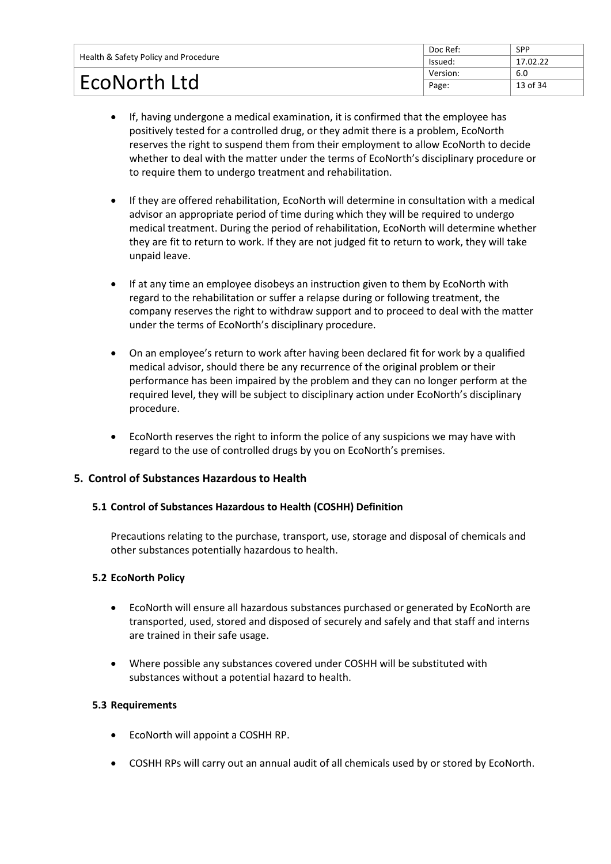|                                      | Doc Ref: | <b>SPP</b> |
|--------------------------------------|----------|------------|
| Health & Safety Policy and Procedure | Issued:  | 17.02.22   |
|                                      | Version: | 6.0        |
| EcoNorth Ltd                         | Page:    | 13 of 34   |

- If, having undergone a medical examination, it is confirmed that the employee has positively tested for a controlled drug, or they admit there is a problem, EcoNorth reserves the right to suspend them from their employment to allow EcoNorth to decide whether to deal with the matter under the terms of EcoNorth's disciplinary procedure or to require them to undergo treatment and rehabilitation.
- If they are offered rehabilitation, EcoNorth will determine in consultation with a medical advisor an appropriate period of time during which they will be required to undergo medical treatment. During the period of rehabilitation, EcoNorth will determine whether they are fit to return to work. If they are not judged fit to return to work, they will take unpaid leave.
- If at any time an employee disobeys an instruction given to them by EcoNorth with regard to the rehabilitation or suffer a relapse during or following treatment, the company reserves the right to withdraw support and to proceed to deal with the matter under the terms of EcoNorth's disciplinary procedure.
- On an employee's return to work after having been declared fit for work by a qualified medical advisor, should there be any recurrence of the original problem or their performance has been impaired by the problem and they can no longer perform at the required level, they will be subject to disciplinary action under EcoNorth's disciplinary procedure.
- EcoNorth reserves the right to inform the police of any suspicions we may have with regard to the use of controlled drugs by you on EcoNorth's premises.

# **5. Control of Substances Hazardous to Health**

# **5.1 Control of Substances Hazardous to Health (COSHH) Definition**

Precautions relating to the purchase, transport, use, storage and disposal of chemicals and other substances potentially hazardous to health.

# **5.2 EcoNorth Policy**

- EcoNorth will ensure all hazardous substances purchased or generated by EcoNorth are transported, used, stored and disposed of securely and safely and that staff and interns are trained in their safe usage.
- Where possible any substances covered under COSHH will be substituted with substances without a potential hazard to health.

#### **5.3 Requirements**

- EcoNorth will appoint a COSHH RP.
- COSHH RPs will carry out an annual audit of all chemicals used by or stored by EcoNorth.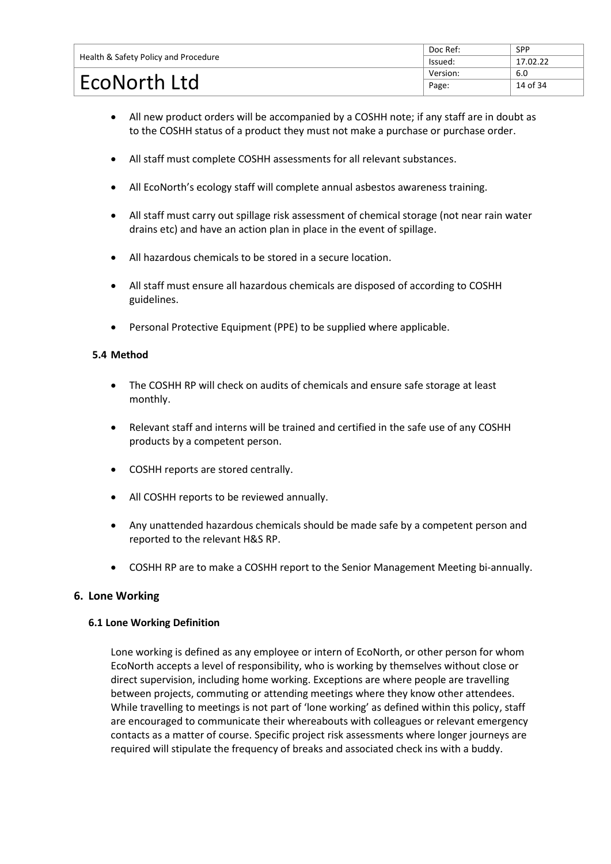|                                      | Doc Ref: | <b>SPP</b> |
|--------------------------------------|----------|------------|
| Health & Safety Policy and Procedure | lssued:  | 17.02.22   |
|                                      | Version: | 6.0        |
| EcoNorth Ltd                         | Page:    | 14 of 34   |

- All new product orders will be accompanied by a COSHH note; if any staff are in doubt as to the COSHH status of a product they must not make a purchase or purchase order.
- All staff must complete COSHH assessments for all relevant substances.
- All EcoNorth's ecology staff will complete annual asbestos awareness training.
- All staff must carry out spillage risk assessment of chemical storage (not near rain water drains etc) and have an action plan in place in the event of spillage.
- All hazardous chemicals to be stored in a secure location.
- All staff must ensure all hazardous chemicals are disposed of according to COSHH guidelines.
- Personal Protective Equipment (PPE) to be supplied where applicable.

# **5.4 Method**

- The COSHH RP will check on audits of chemicals and ensure safe storage at least monthly.
- Relevant staff and interns will be trained and certified in the safe use of any COSHH products by a competent person.
- COSHH reports are stored centrally.
- All COSHH reports to be reviewed annually.
- Any unattended hazardous chemicals should be made safe by a competent person and reported to the relevant H&S RP.
- COSHH RP are to make a COSHH report to the Senior Management Meeting bi-annually.

# <span id="page-15-0"></span>**6. Lone Working**

# **6.1 Lone Working Definition**

Lone working is defined as any employee or intern of EcoNorth, or other person for whom EcoNorth accepts a level of responsibility, who is working by themselves without close or direct supervision, including home working. Exceptions are where people are travelling between projects, commuting or attending meetings where they know other attendees. While travelling to meetings is not part of 'lone working' as defined within this policy, staff are encouraged to communicate their whereabouts with colleagues or relevant emergency contacts as a matter of course. Specific project risk assessments where longer journeys are required will stipulate the frequency of breaks and associated check ins with a buddy.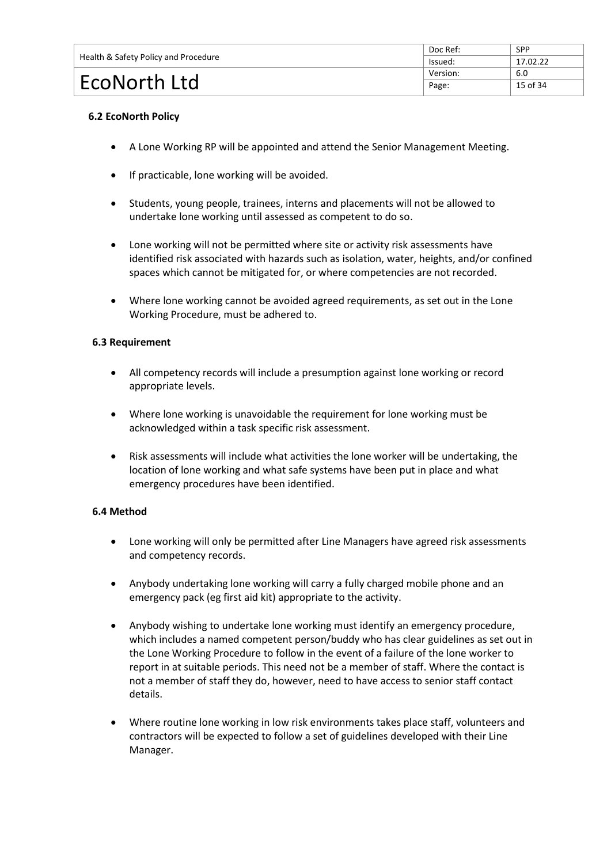|                                      | Doc Ref: | <b>SPP</b> |
|--------------------------------------|----------|------------|
| Health & Safety Policy and Procedure | lssued:  | 17.02.22   |
|                                      | Version: | 6.0        |
| EcoNorth Ltd                         | Page:    | 15 of 34   |

# **6.2 EcoNorth Policy**

- A Lone Working RP will be appointed and attend the Senior Management Meeting.
- If practicable, lone working will be avoided.
- Students, young people, trainees, interns and placements will not be allowed to undertake lone working until assessed as competent to do so.
- Lone working will not be permitted where site or activity risk assessments have identified risk associated with hazards such as isolation, water, heights, and/or confined spaces which cannot be mitigated for, or where competencies are not recorded.
- Where lone working cannot be avoided agreed requirements, as set out in the Lone Working Procedure, must be adhered to.

#### **6.3 Requirement**

- All competency records will include a presumption against lone working or record appropriate levels.
- Where lone working is unavoidable the requirement for lone working must be acknowledged within a task specific risk assessment.
- Risk assessments will include what activities the lone worker will be undertaking, the location of lone working and what safe systems have been put in place and what emergency procedures have been identified.

- Lone working will only be permitted after Line Managers have agreed risk assessments and competency records.
- Anybody undertaking lone working will carry a fully charged mobile phone and an emergency pack (eg first aid kit) appropriate to the activity.
- Anybody wishing to undertake lone working must identify an emergency procedure, which includes a named competent person/buddy who has clear guidelines as set out in the Lone Working Procedure to follow in the event of a failure of the lone worker to report in at suitable periods. This need not be a member of staff. Where the contact is not a member of staff they do, however, need to have access to senior staff contact details.
- Where routine lone working in low risk environments takes place staff, volunteers and contractors will be expected to follow a set of guidelines developed with their Line Manager.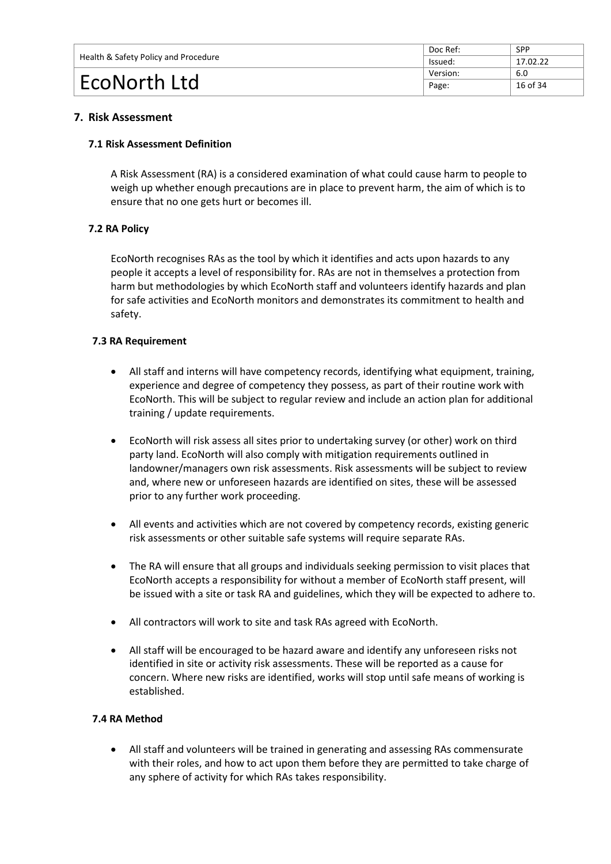|                                      | Doc Ref: | <b>SPP</b> |
|--------------------------------------|----------|------------|
| Health & Safety Policy and Procedure | lssued:  | 17.02.22   |
|                                      | Version: | 6.0        |
| EcoNorth Ltd                         | Page:    | 16 of 34   |

# <span id="page-17-0"></span>**7. Risk Assessment**

#### **7.1 Risk Assessment Definition**

A Risk Assessment (RA) is a considered examination of what could cause harm to people to weigh up whether enough precautions are in place to prevent harm, the aim of which is to ensure that no one gets hurt or becomes ill.

#### **7.2 RA Policy**

EcoNorth recognises RAs as the tool by which it identifies and acts upon hazards to any people it accepts a level of responsibility for. RAs are not in themselves a protection from harm but methodologies by which EcoNorth staff and volunteers identify hazards and plan for safe activities and EcoNorth monitors and demonstrates its commitment to health and safety.

#### **7.3 RA Requirement**

- All staff and interns will have competency records, identifying what equipment, training, experience and degree of competency they possess, as part of their routine work with EcoNorth. This will be subject to regular review and include an action plan for additional training / update requirements.
- EcoNorth will risk assess all sites prior to undertaking survey (or other) work on third party land. EcoNorth will also comply with mitigation requirements outlined in landowner/managers own risk assessments. Risk assessments will be subject to review and, where new or unforeseen hazards are identified on sites, these will be assessed prior to any further work proceeding.
- All events and activities which are not covered by competency records, existing generic risk assessments or other suitable safe systems will require separate RAs.
- The RA will ensure that all groups and individuals seeking permission to visit places that EcoNorth accepts a responsibility for without a member of EcoNorth staff present, will be issued with a site or task RA and guidelines, which they will be expected to adhere to.
- All contractors will work to site and task RAs agreed with EcoNorth.
- All staff will be encouraged to be hazard aware and identify any unforeseen risks not identified in site or activity risk assessments. These will be reported as a cause for concern. Where new risks are identified, works will stop until safe means of working is established.

#### **7.4 RA Method**

• All staff and volunteers will be trained in generating and assessing RAs commensurate with their roles, and how to act upon them before they are permitted to take charge of any sphere of activity for which RAs takes responsibility.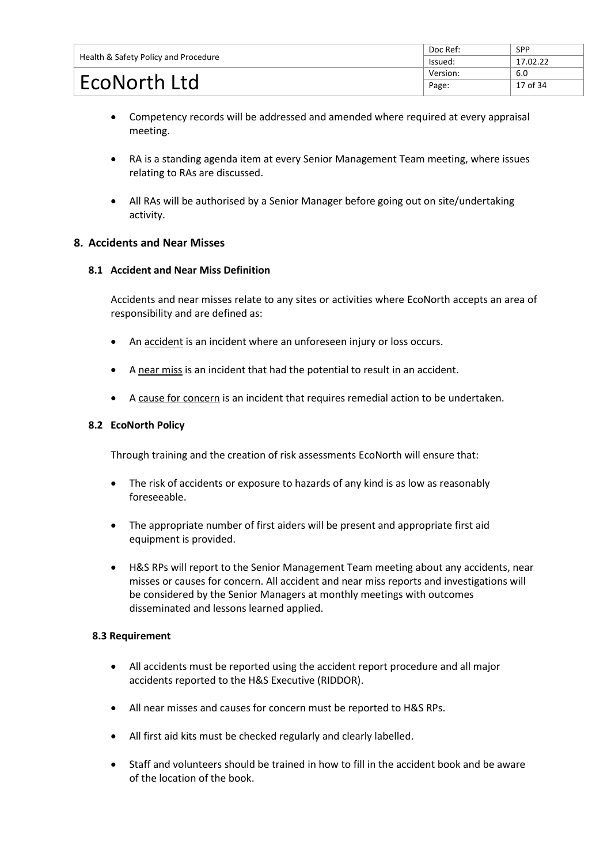|                                      | Doc Ref: | <b>SPP</b> |
|--------------------------------------|----------|------------|
| Health & Safety Policy and Procedure | lssued:  | 17.02.22   |
|                                      | Version: | 6.0        |
| EcoNorth Ltd                         | Page:    | 17 of 34   |

- Competency records will be addressed and amended where required at every appraisal meeting.
- RA is a standing agenda item at every Senior Management Team meeting, where issues relating to RAs are discussed.
- All RAs will be authorised by a Senior Manager before going out on site/undertaking activity.

# <span id="page-18-0"></span>**8. Accidents and Near Misses**

#### **8.1 Accident and Near Miss Definition**

Accidents and near misses relate to any sites or activities where EcoNorth accepts an area of responsibility and are defined as:

- An accident is an incident where an unforeseen injury or loss occurs.
- A near miss is an incident that had the potential to result in an accident.
- A cause for concern is an incident that requires remedial action to be undertaken.

#### **8.2 EcoNorth Policy**

Through training and the creation of risk assessments EcoNorth will ensure that:

- The risk of accidents or exposure to hazards of any kind is as low as reasonably foreseeable.
- The appropriate number of first aiders will be present and appropriate first aid equipment is provided.
- H&S RPs will report to the Senior Management Team meeting about any accidents, near misses or causes for concern. All accident and near miss reports and investigations will be considered by the Senior Managers at monthly meetings with outcomes disseminated and lessons learned applied.

#### **8.3 Requirement**

- All accidents must be reported using the accident report procedure and all major accidents reported to the H&S Executive (RIDDOR).
- All near misses and causes for concern must be reported to H&S RPs.
- All first aid kits must be checked regularly and clearly labelled.
- Staff and volunteers should be trained in how to fill in the accident book and be aware of the location of the book.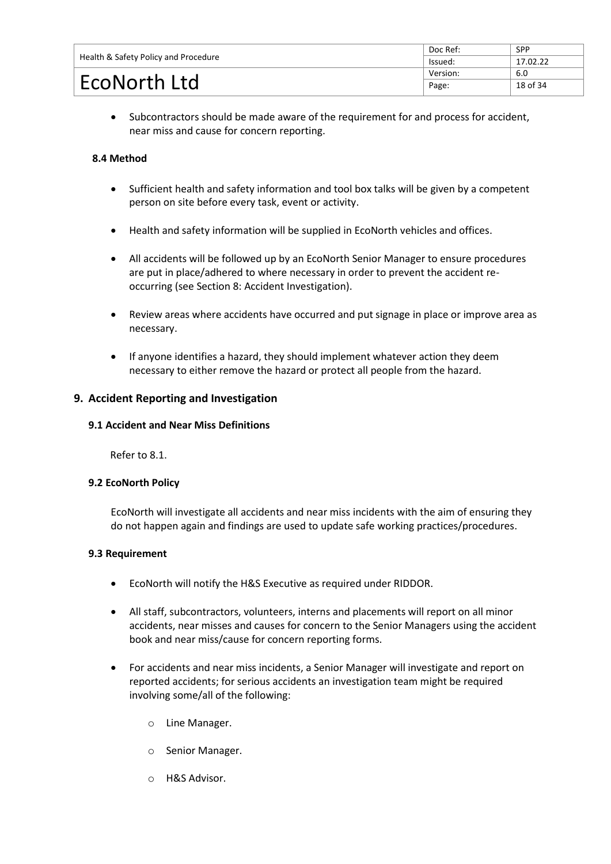|                                      | Doc Ref: | <b>SPP</b> |
|--------------------------------------|----------|------------|
| Health & Safety Policy and Procedure | lssued:  | 17.02.22   |
|                                      | Version: | 6.0        |
| EcoNorth Ltd                         | Page:    | 18 of 34   |

Subcontractors should be made aware of the requirement for and process for accident, near miss and cause for concern reporting.

# **8.4 Method**

- Sufficient health and safety information and tool box talks will be given by a competent person on site before every task, event or activity.
- Health and safety information will be supplied in EcoNorth vehicles and offices.
- All accidents will be followed up by an EcoNorth Senior Manager to ensure procedures are put in place/adhered to where necessary in order to prevent the accident reoccurring (see Section 8: Accident Investigation).
- Review areas where accidents have occurred and put signage in place or improve area as necessary.
- If anyone identifies a hazard, they should implement whatever action they deem necessary to either remove the hazard or protect all people from the hazard.

#### <span id="page-19-0"></span>**9. Accident Reporting and Investigation**

#### **9.1 Accident and Near Miss Definitions**

Refer to 8.1.

#### **9.2 EcoNorth Policy**

EcoNorth will investigate all accidents and near miss incidents with the aim of ensuring they do not happen again and findings are used to update safe working practices/procedures.

#### **9.3 Requirement**

- EcoNorth will notify the H&S Executive as required under RIDDOR.
- All staff, subcontractors, volunteers, interns and placements will report on all minor accidents, near misses and causes for concern to the Senior Managers using the accident book and near miss/cause for concern reporting forms.
- For accidents and near miss incidents, a Senior Manager will investigate and report on reported accidents; for serious accidents an investigation team might be required involving some/all of the following:
	- o Line Manager.
	- o Senior Manager.
	- o H&S Advisor.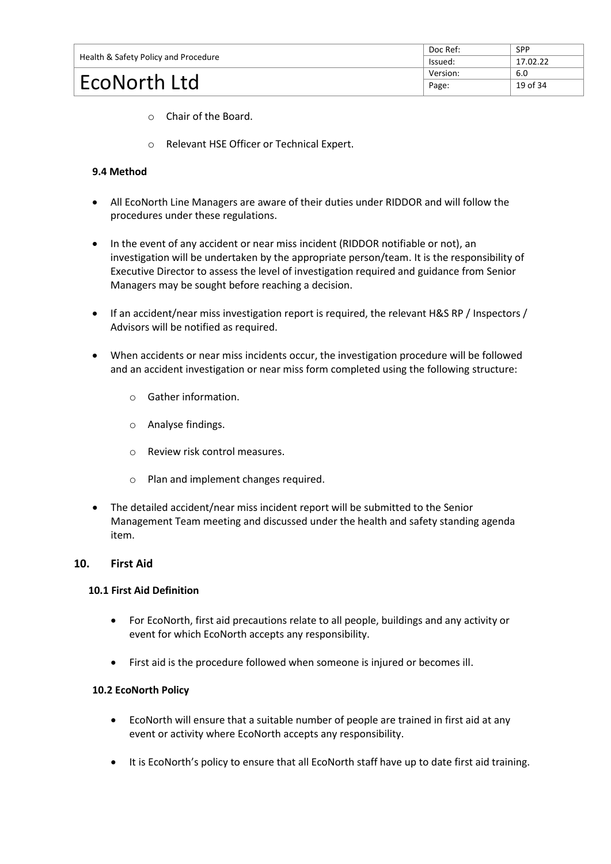|                                      | Doc Ref: | <b>SPP</b> |
|--------------------------------------|----------|------------|
| Health & Safety Policy and Procedure | lssued:  | 17.02.22   |
|                                      | Version: | 6.0        |
| EcoNorth Ltd                         | Page:    | 19 of 34   |

- o Chair of the Board.
- o Relevant HSE Officer or Technical Expert.

#### **9.4 Method**

- All EcoNorth Line Managers are aware of their duties under RIDDOR and will follow the procedures under these regulations.
- In the event of any accident or near miss incident (RIDDOR notifiable or not), an investigation will be undertaken by the appropriate person/team. It is the responsibility of Executive Director to assess the level of investigation required and guidance from Senior Managers may be sought before reaching a decision.
- If an accident/near miss investigation report is required, the relevant H&S RP / Inspectors / Advisors will be notified as required.
- When accidents or near miss incidents occur, the investigation procedure will be followed and an accident investigation or near miss form completed using the following structure:
	- o Gather information.
	- o Analyse findings.
	- o Review risk control measures.
	- o Plan and implement changes required.
- The detailed accident/near miss incident report will be submitted to the Senior Management Team meeting and discussed under the health and safety standing agenda item.

#### <span id="page-20-0"></span>**10. First Aid**

#### **10.1 First Aid Definition**

- For EcoNorth, first aid precautions relate to all people, buildings and any activity or event for which EcoNorth accepts any responsibility.
- First aid is the procedure followed when someone is injured or becomes ill.

#### **10.2 EcoNorth Policy**

- EcoNorth will ensure that a suitable number of people are trained in first aid at any event or activity where EcoNorth accepts any responsibility.
- It is EcoNorth's policy to ensure that all EcoNorth staff have up to date first aid training.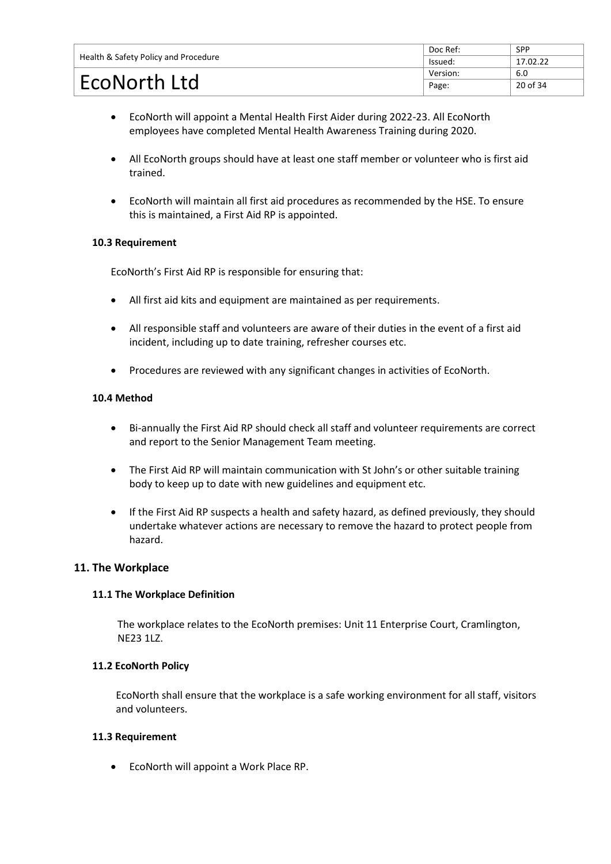|                                      | Doc Ref: | <b>SPP</b> |
|--------------------------------------|----------|------------|
| Health & Safety Policy and Procedure | lssued:  | 17.02.22   |
|                                      | Version: | 6.0        |
| EcoNorth Ltd                         | Page:    | 20 of 34   |

- EcoNorth will appoint a Mental Health First Aider during 2022-23. All EcoNorth employees have completed Mental Health Awareness Training during 2020.
- All EcoNorth groups should have at least one staff member or volunteer who is first aid trained.
- EcoNorth will maintain all first aid procedures as recommended by the HSE. To ensure this is maintained, a First Aid RP is appointed.

#### **10.3 Requirement**

EcoNorth's First Aid RP is responsible for ensuring that:

- All first aid kits and equipment are maintained as per requirements.
- All responsible staff and volunteers are aware of their duties in the event of a first aid incident, including up to date training, refresher courses etc.
- Procedures are reviewed with any significant changes in activities of EcoNorth.

#### **10.4 Method**

- Bi-annually the First Aid RP should check all staff and volunteer requirements are correct and report to the Senior Management Team meeting.
- The First Aid RP will maintain communication with St John's or other suitable training body to keep up to date with new guidelines and equipment etc.
- If the First Aid RP suspects a health and safety hazard, as defined previously, they should undertake whatever actions are necessary to remove the hazard to protect people from hazard.

#### <span id="page-21-0"></span>**11. The Workplace**

#### **11.1 The Workplace Definition**

The workplace relates to the EcoNorth premises: Unit 11 Enterprise Court, Cramlington, NE23 1LZ.

#### **11.2 EcoNorth Policy**

 EcoNorth shall ensure that the workplace is a safe working environment for all staff, visitors and volunteers.

#### **11.3 Requirement**

• EcoNorth will appoint a Work Place RP.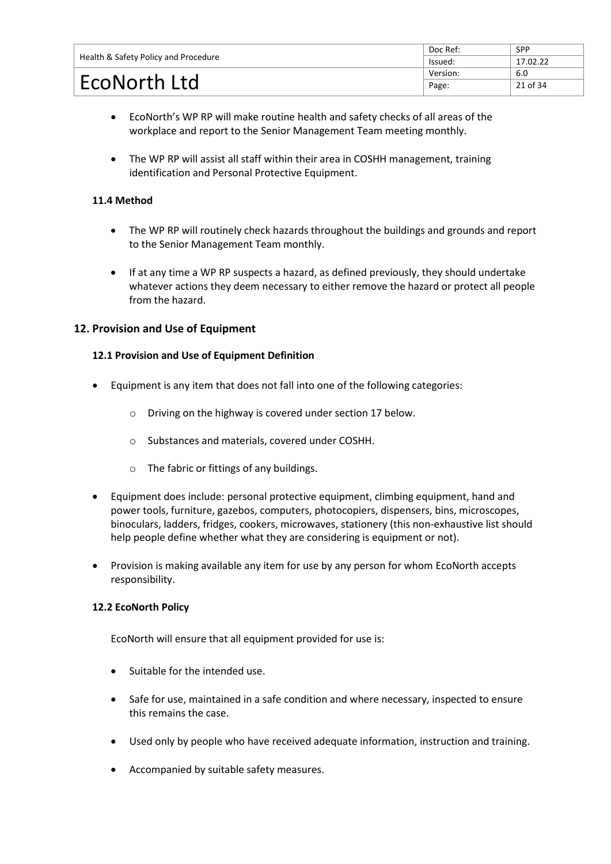|                                      | Doc Ref: | <b>SPP</b> |
|--------------------------------------|----------|------------|
| Health & Safety Policy and Procedure | lssued:  | 17.02.22   |
|                                      | Version: | 6.0        |
| EcoNorth Ltd                         | Page:    | 21 of 34   |

- EcoNorth's WP RP will make routine health and safety checks of all areas of the workplace and report to the Senior Management Team meeting monthly.
- The WP RP will assist all staff within their area in COSHH management, training identification and Personal Protective Equipment.

# **11.4 Method**

- The WP RP will routinely check hazards throughout the buildings and grounds and report to the Senior Management Team monthly.
- If at any time a WP RP suspects a hazard, as defined previously, they should undertake whatever actions they deem necessary to either remove the hazard or protect all people from the hazard.

# <span id="page-22-0"></span>**12. Provision and Use of Equipment**

#### **12.1 Provision and Use of Equipment Definition**

- Equipment is any item that does not fall into one of the following categories:
	- o Driving on the highway is covered under section 17 below.
	- o Substances and materials, covered under COSHH.
	- o The fabric or fittings of any buildings.
- Equipment does include: personal protective equipment, climbing equipment, hand and power tools, furniture, gazebos, computers, photocopiers, dispensers, bins, microscopes, binoculars, ladders, fridges, cookers, microwaves, stationery (this non-exhaustive list should help people define whether what they are considering is equipment or not).
- Provision is making available any item for use by any person for whom EcoNorth accepts responsibility.

#### **12.2 EcoNorth Policy**

EcoNorth will ensure that all equipment provided for use is:

- Suitable for the intended use.
- Safe for use, maintained in a safe condition and where necessary, inspected to ensure this remains the case.
- Used only by people who have received adequate information, instruction and training.
- Accompanied by suitable safety measures.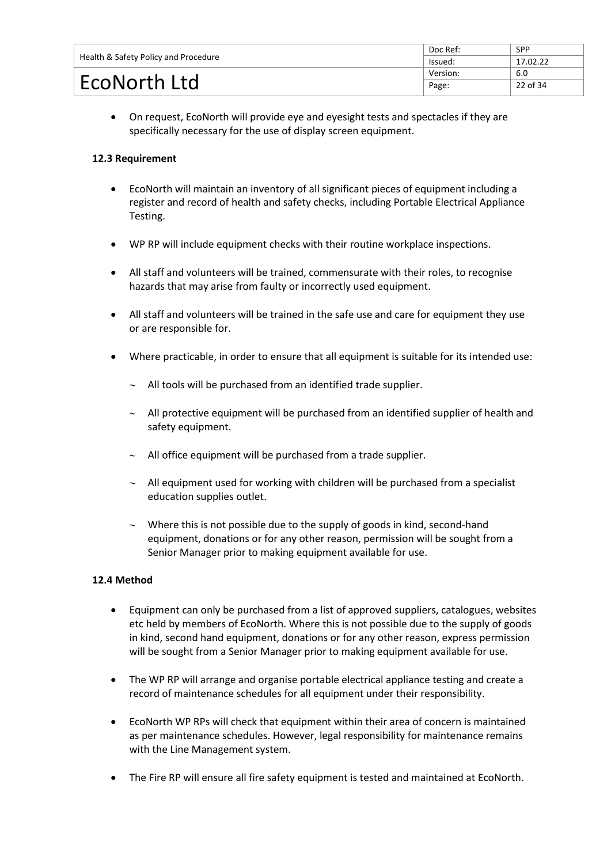|                                      | Doc Ref: | <b>SPP</b> |
|--------------------------------------|----------|------------|
| Health & Safety Policy and Procedure | lssued:  | 17.02.22   |
|                                      | Version: | 6.0        |
| <b>EcoNorth Ltd</b>                  | Page:    | 22 of 34   |

• On request, EcoNorth will provide eye and eyesight tests and spectacles if they are specifically necessary for the use of display screen equipment.

# **12.3 Requirement**

- EcoNorth will maintain an inventory of all significant pieces of equipment including a register and record of health and safety checks, including Portable Electrical Appliance Testing.
- WP RP will include equipment checks with their routine workplace inspections.
- All staff and volunteers will be trained, commensurate with their roles, to recognise hazards that may arise from faulty or incorrectly used equipment.
- All staff and volunteers will be trained in the safe use and care for equipment they use or are responsible for.
- Where practicable, in order to ensure that all equipment is suitable for its intended use:
	- $\sim$  All tools will be purchased from an identified trade supplier.
	- $\sim$  All protective equipment will be purchased from an identified supplier of health and safety equipment.
	- $\sim$  All office equipment will be purchased from a trade supplier.
	- $\sim$  All equipment used for working with children will be purchased from a specialist education supplies outlet.
	- $\sim$  Where this is not possible due to the supply of goods in kind, second-hand equipment, donations or for any other reason, permission will be sought from a Senior Manager prior to making equipment available for use.

- Equipment can only be purchased from a list of approved suppliers, catalogues, websites etc held by members of EcoNorth. Where this is not possible due to the supply of goods in kind, second hand equipment, donations or for any other reason, express permission will be sought from a Senior Manager prior to making equipment available for use.
- The WP RP will arrange and organise portable electrical appliance testing and create a record of maintenance schedules for all equipment under their responsibility.
- EcoNorth WP RPs will check that equipment within their area of concern is maintained as per maintenance schedules. However, legal responsibility for maintenance remains with the Line Management system.
- The Fire RP will ensure all fire safety equipment is tested and maintained at EcoNorth.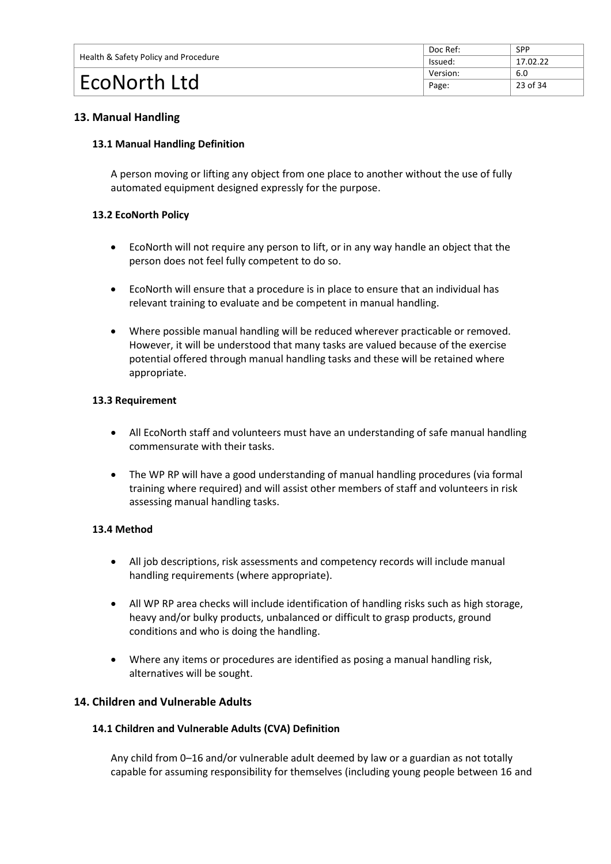|                                      | Doc Ref: | <b>SPP</b> |
|--------------------------------------|----------|------------|
| Health & Safety Policy and Procedure | lssued:  | 17.02.22   |
|                                      | Version: | 6.0        |
| EcoNorth Ltd                         | Page:    | 23 of 34   |

# <span id="page-24-0"></span>**13. Manual Handling**

#### **13.1 Manual Handling Definition**

A person moving or lifting any object from one place to another without the use of fully automated equipment designed expressly for the purpose.

#### **13.2 EcoNorth Policy**

- EcoNorth will not require any person to lift, or in any way handle an object that the person does not feel fully competent to do so.
- EcoNorth will ensure that a procedure is in place to ensure that an individual has relevant training to evaluate and be competent in manual handling.
- Where possible manual handling will be reduced wherever practicable or removed. However, it will be understood that many tasks are valued because of the exercise potential offered through manual handling tasks and these will be retained where appropriate.

#### **13.3 Requirement**

- All EcoNorth staff and volunteers must have an understanding of safe manual handling commensurate with their tasks.
- The WP RP will have a good understanding of manual handling procedures (via formal training where required) and will assist other members of staff and volunteers in risk assessing manual handling tasks.

#### **13.4 Method**

- All job descriptions, risk assessments and competency records will include manual handling requirements (where appropriate).
- All WP RP area checks will include identification of handling risks such as high storage, heavy and/or bulky products, unbalanced or difficult to grasp products, ground conditions and who is doing the handling.
- Where any items or procedures are identified as posing a manual handling risk, alternatives will be sought.

# <span id="page-24-1"></span>**14. Children and Vulnerable Adults**

#### **14.1 Children and Vulnerable Adults (CVA) Definition**

Any child from 0–16 and/or vulnerable adult deemed by law or a guardian as not totally capable for assuming responsibility for themselves (including young people between 16 and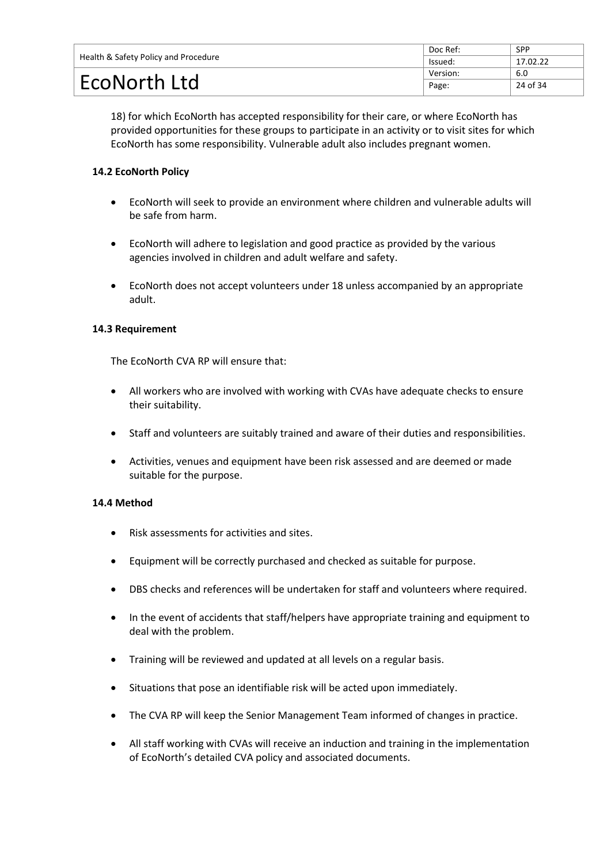|                                      | Doc Ref: | <b>SPP</b> |
|--------------------------------------|----------|------------|
| Health & Safety Policy and Procedure | lssued:  | 17.02.22   |
|                                      | Version: | 6.0        |
| EcoNorth Ltd                         | Page:    | 24 of 34   |

18) for which EcoNorth has accepted responsibility for their care, or where EcoNorth has provided opportunities for these groups to participate in an activity or to visit sites for which EcoNorth has some responsibility. Vulnerable adult also includes pregnant women.

# **14.2 EcoNorth Policy**

- EcoNorth will seek to provide an environment where children and vulnerable adults will be safe from harm.
- EcoNorth will adhere to legislation and good practice as provided by the various agencies involved in children and adult welfare and safety.
- EcoNorth does not accept volunteers under 18 unless accompanied by an appropriate adult.

#### **14.3 Requirement**

The EcoNorth CVA RP will ensure that:

- All workers who are involved with working with CVAs have adequate checks to ensure their suitability.
- Staff and volunteers are suitably trained and aware of their duties and responsibilities.
- Activities, venues and equipment have been risk assessed and are deemed or made suitable for the purpose.

- Risk assessments for activities and sites.
- Equipment will be correctly purchased and checked as suitable for purpose.
- DBS checks and references will be undertaken for staff and volunteers where required.
- In the event of accidents that staff/helpers have appropriate training and equipment to deal with the problem.
- Training will be reviewed and updated at all levels on a regular basis.
- Situations that pose an identifiable risk will be acted upon immediately.
- The CVA RP will keep the Senior Management Team informed of changes in practice.
- <span id="page-25-0"></span>• All staff working with CVAs will receive an induction and training in the implementation of EcoNorth's detailed CVA policy and associated documents.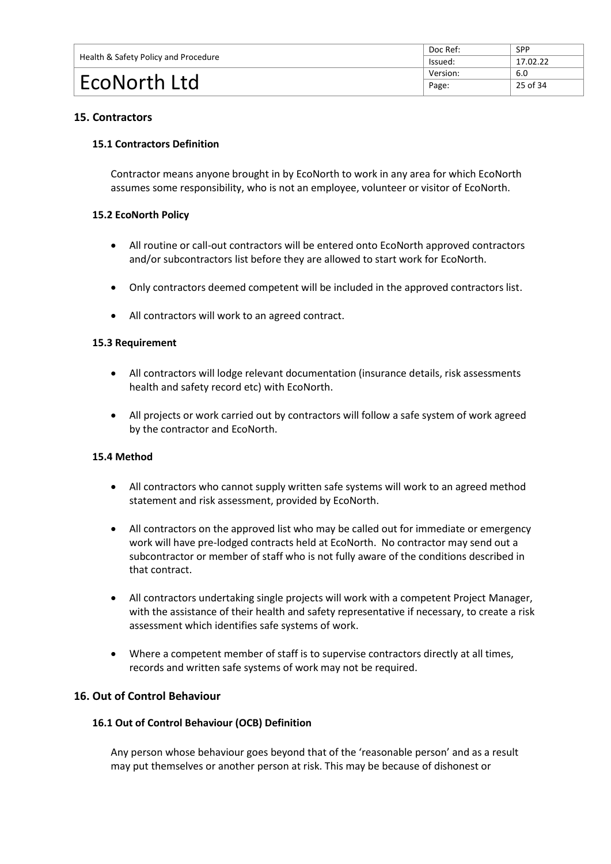|                                      | Doc Ref: | <b>SPP</b> |
|--------------------------------------|----------|------------|
| Health & Safety Policy and Procedure | lssued:  | 17.02.22   |
|                                      | Version: | 6.0        |
| EcoNorth Ltd                         | Page:    | 25 of 34   |

# **15. Contractors**

#### **15.1 Contractors Definition**

Contractor means anyone brought in by EcoNorth to work in any area for which EcoNorth assumes some responsibility, who is not an employee, volunteer or visitor of EcoNorth.

#### **15.2 EcoNorth Policy**

- All routine or call-out contractors will be entered onto EcoNorth approved contractors and/or subcontractors list before they are allowed to start work for EcoNorth.
- Only contractors deemed competent will be included in the approved contractors list.
- All contractors will work to an agreed contract.

#### **15.3 Requirement**

- All contractors will lodge relevant documentation (insurance details, risk assessments health and safety record etc) with EcoNorth.
- All projects or work carried out by contractors will follow a safe system of work agreed by the contractor and EcoNorth.

#### **15.4 Method**

- All contractors who cannot supply written safe systems will work to an agreed method statement and risk assessment, provided by EcoNorth.
- All contractors on the approved list who may be called out for immediate or emergency work will have pre-lodged contracts held at EcoNorth. No contractor may send out a subcontractor or member of staff who is not fully aware of the conditions described in that contract.
- All contractors undertaking single projects will work with a competent Project Manager, with the assistance of their health and safety representative if necessary, to create a risk assessment which identifies safe systems of work.
- Where a competent member of staff is to supervise contractors directly at all times, records and written safe systems of work may not be required.

# <span id="page-26-0"></span>**16. Out of Control Behaviour**

#### **16.1 Out of Control Behaviour (OCB) Definition**

Any person whose behaviour goes beyond that of the 'reasonable person' and as a result may put themselves or another person at risk. This may be because of dishonest or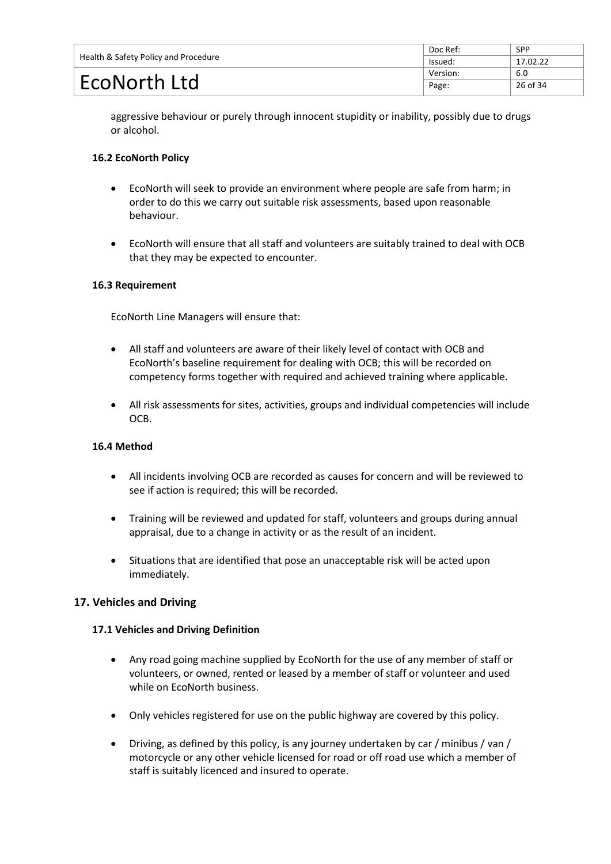|                                      | Doc Ref: | <b>SPP</b> |
|--------------------------------------|----------|------------|
| Health & Safety Policy and Procedure | lssued:  | 17.02.22   |
|                                      | Version: | 6.0        |
| EcoNorth Ltd                         | Page:    | 26 of 34   |

aggressive behaviour or purely through innocent stupidity or inability, possibly due to drugs or alcohol.

# **16.2 EcoNorth Policy**

- EcoNorth will seek to provide an environment where people are safe from harm; in order to do this we carry out suitable risk assessments, based upon reasonable behaviour.
- EcoNorth will ensure that all staff and volunteers are suitably trained to deal with OCB that they may be expected to encounter.

#### **16.3 Requirement**

EcoNorth Line Managers will ensure that:

- All staff and volunteers are aware of their likely level of contact with OCB and EcoNorth's baseline requirement for dealing with OCB; this will be recorded on competency forms together with required and achieved training where applicable.
- All risk assessments for sites, activities, groups and individual competencies will include OCB.

#### **16.4 Method**

- All incidents involving OCB are recorded as causes for concern and will be reviewed to see if action is required; this will be recorded.
- Training will be reviewed and updated for staff, volunteers and groups during annual appraisal, due to a change in activity or as the result of an incident.
- Situations that are identified that pose an unacceptable risk will be acted upon immediately.

# **17. Vehicles and Driving**

#### <span id="page-27-0"></span>**17.1 Vehicles and Driving Definition**

- Any road going machine supplied by EcoNorth for the use of any member of staff or volunteers, or owned, rented or leased by a member of staff or volunteer and used while on EcoNorth business.
- Only vehicles registered for use on the public highway are covered by this policy.
- Driving, as defined by this policy, is any journey undertaken by car / minibus / van / motorcycle or any other vehicle licensed for road or off road use which a member of staff is suitably licenced and insured to operate.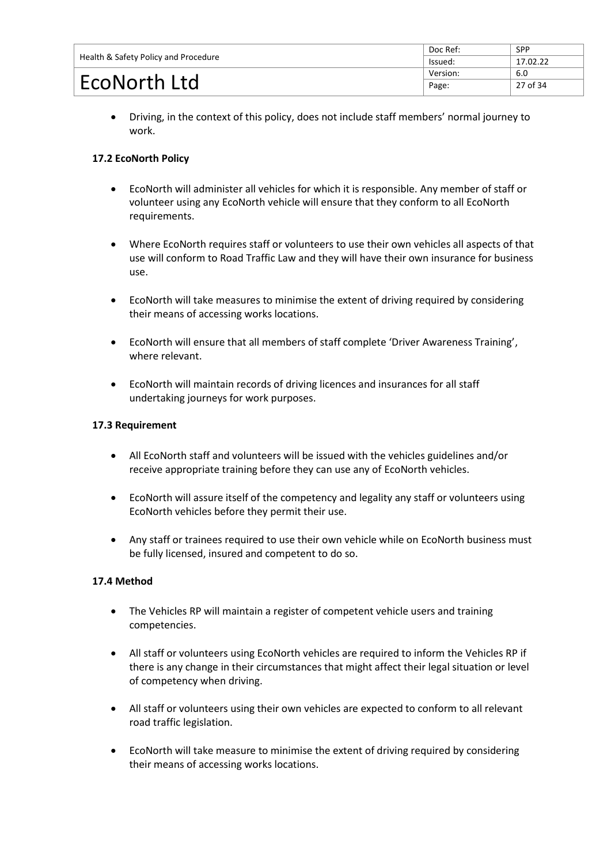|                                      | Doc Ref: | <b>SPP</b> |
|--------------------------------------|----------|------------|
| Health & Safety Policy and Procedure | lssued:  | 17.02.22   |
|                                      | Version: | 6.0        |
| EcoNorth Ltd                         | Page:    | 27 of 34   |

• Driving, in the context of this policy, does not include staff members' normal journey to work.

# **17.2 EcoNorth Policy**

- EcoNorth will administer all vehicles for which it is responsible. Any member of staff or volunteer using any EcoNorth vehicle will ensure that they conform to all EcoNorth requirements.
- Where EcoNorth requires staff or volunteers to use their own vehicles all aspects of that use will conform to Road Traffic Law and they will have their own insurance for business use.
- EcoNorth will take measures to minimise the extent of driving required by considering their means of accessing works locations.
- EcoNorth will ensure that all members of staff complete 'Driver Awareness Training', where relevant.
- EcoNorth will maintain records of driving licences and insurances for all staff undertaking journeys for work purposes.

# **17.3 Requirement**

- All EcoNorth staff and volunteers will be issued with the vehicles guidelines and/or receive appropriate training before they can use any of EcoNorth vehicles.
- EcoNorth will assure itself of the competency and legality any staff or volunteers using EcoNorth vehicles before they permit their use.
- Any staff or trainees required to use their own vehicle while on EcoNorth business must be fully licensed, insured and competent to do so.

- The Vehicles RP will maintain a register of competent vehicle users and training competencies.
- All staff or volunteers using EcoNorth vehicles are required to inform the Vehicles RP if there is any change in their circumstances that might affect their legal situation or level of competency when driving.
- All staff or volunteers using their own vehicles are expected to conform to all relevant road traffic legislation.
- EcoNorth will take measure to minimise the extent of driving required by considering their means of accessing works locations.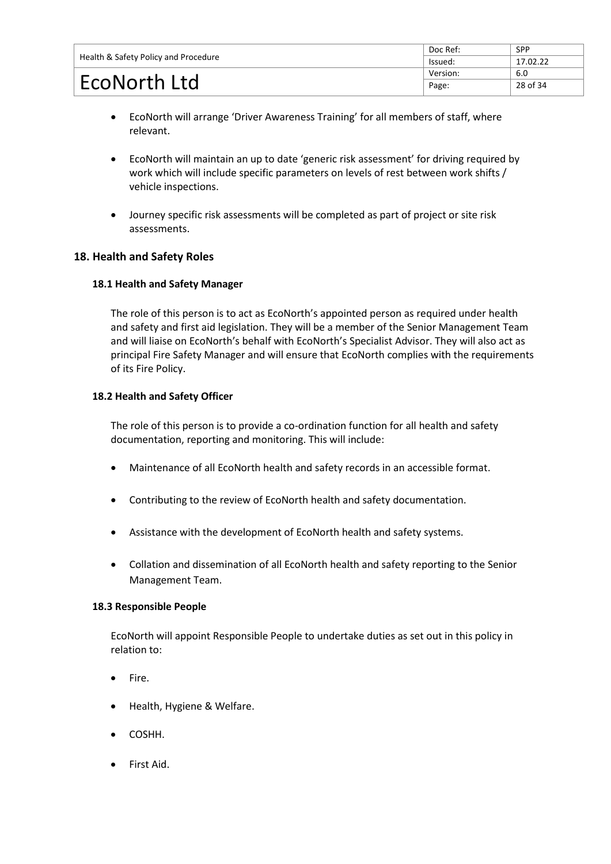|                                      | Doc Ref: | <b>SPP</b> |
|--------------------------------------|----------|------------|
| Health & Safety Policy and Procedure | lssued:  | 17.02.22   |
|                                      | Version: | 6.0        |
| EcoNorth Ltd                         | Page:    | 28 of 34   |

- EcoNorth will arrange 'Driver Awareness Training' for all members of staff, where relevant.
- EcoNorth will maintain an up to date 'generic risk assessment' for driving required by work which will include specific parameters on levels of rest between work shifts / vehicle inspections.
- Journey specific risk assessments will be completed as part of project or site risk assessments.

# **18. Health and Safety Roles**

#### <span id="page-29-0"></span>**18.1 Health and Safety Manager**

The role of this person is to act as EcoNorth's appointed person as required under health and safety and first aid legislation. They will be a member of the Senior Management Team and will liaise on EcoNorth's behalf with EcoNorth's Specialist Advisor. They will also act as principal Fire Safety Manager and will ensure that EcoNorth complies with the requirements of its Fire Policy.

#### **18.2 Health and Safety Officer**

The role of this person is to provide a co-ordination function for all health and safety documentation, reporting and monitoring. This will include:

- Maintenance of all EcoNorth health and safety records in an accessible format.
- Contributing to the review of EcoNorth health and safety documentation.
- Assistance with the development of EcoNorth health and safety systems.
- Collation and dissemination of all EcoNorth health and safety reporting to the Senior Management Team.

#### **18.3 Responsible People**

EcoNorth will appoint Responsible People to undertake duties as set out in this policy in relation to:

- Fire.
- Health, Hygiene & Welfare.
- COSHH.
- First Aid.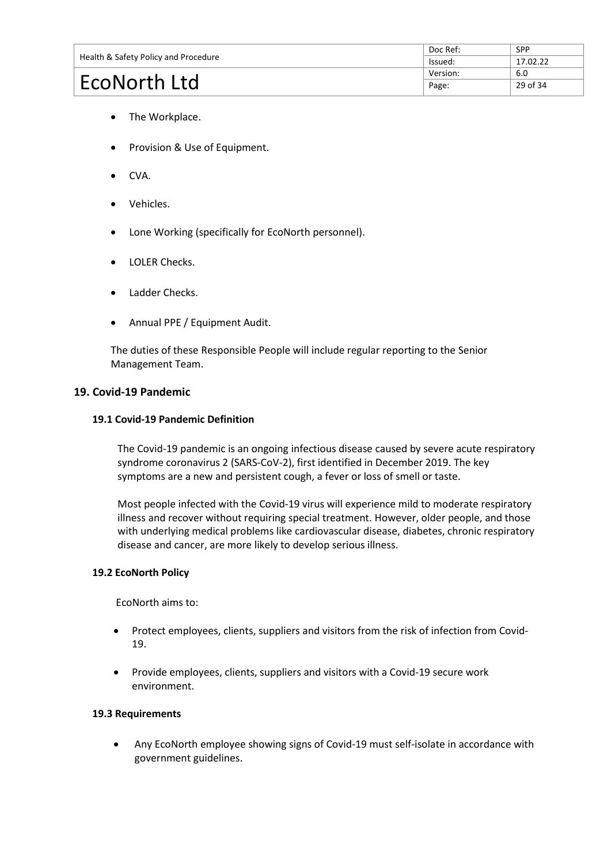|                                      | Doc Ref: | <b>SPP</b> |
|--------------------------------------|----------|------------|
| Health & Safety Policy and Procedure | lssued:  | 17.02.22   |
|                                      | Version: | 6.0        |
| EcoNorth Ltd                         | Page:    | 29 of 34   |

- The Workplace.
- Provision & Use of Equipment.
- CVA.
- Vehicles.
- Lone Working (specifically for EcoNorth personnel).
- LOLER Checks.
- Ladder Checks.
- Annual PPE / Equipment Audit.

The duties of these Responsible People will include regular reporting to the Senior Management Team.

#### **19. Covid-19 Pandemic**

#### **19.1 Covid-19 Pandemic Definition**

The Covid-19 pandemic is an ongoing infectious disease caused by [severe acute respiratory](https://en.wikipedia.org/wiki/Severe_acute_respiratory_syndrome_coronavirus_2)  [syndrome coronavirus 2](https://en.wikipedia.org/wiki/Severe_acute_respiratory_syndrome_coronavirus_2) (SARS-CoV-2), first identified in December 2019. The key symptoms are a new and persistent cough, a fever or loss of smell or taste.

Most people infected with the Covid-19 virus will experience mild to moderate respiratory illness and recover without requiring special treatment. However, older people, and those with underlying medical problems like cardiovascular disease, diabetes, chronic respiratory disease and cancer, are more likely to develop serious illness.

#### **19.2 EcoNorth Policy**

EcoNorth aims to:

- Protect employees, clients, suppliers and visitors from the risk of infection from Covid-19.
- Provide employees, clients, suppliers and visitors with a Covid-19 secure work environment.

#### **19.3 Requirements**

• Any EcoNorth employee showing signs of Covid-19 must self-isolate in accordance with government guidelines.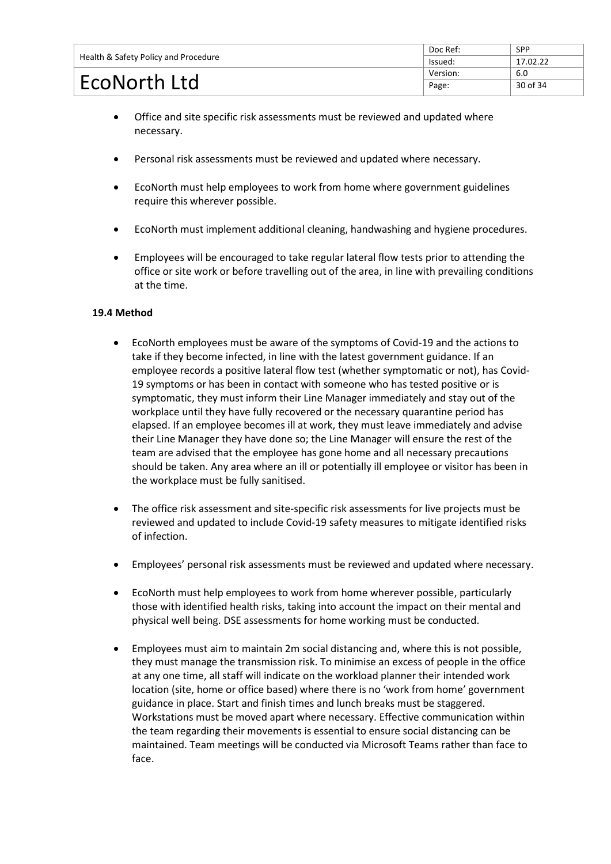|                                      | Doc Ref: | <b>SPP</b> |
|--------------------------------------|----------|------------|
| Health & Safety Policy and Procedure | lssued:  | 17.02.22   |
|                                      | Version: | 6.0        |
| EcoNorth Ltd                         | Page:    | 30 of 34   |

- Office and site specific risk assessments must be reviewed and updated where necessary.
- Personal risk assessments must be reviewed and updated where necessary.
- EcoNorth must help employees to work from home where government guidelines require this wherever possible.
- EcoNorth must implement additional cleaning, handwashing and hygiene procedures.
- Employees will be encouraged to take regular lateral flow tests prior to attending the office or site work or before travelling out of the area, in line with prevailing conditions at the time.

- EcoNorth employees must be aware of the symptoms of Covid-19 and the actions to take if they become infected, in line with the latest government guidance. If an employee records a positive lateral flow test (whether symptomatic or not), has Covid-19 symptoms or has been in contact with someone who has tested positive or is symptomatic, they must inform their Line Manager immediately and stay out of the workplace until they have fully recovered or the necessary quarantine period has elapsed. If an employee becomes ill at work, they must leave immediately and advise their Line Manager they have done so; the Line Manager will ensure the rest of the team are advised that the employee has gone home and all necessary precautions should be taken. Any area where an ill or potentially ill employee or visitor has been in the workplace must be fully sanitised.
- The office risk assessment and site-specific risk assessments for live projects must be reviewed and updated to include Covid-19 safety measures to mitigate identified risks of infection.
- Employees' personal risk assessments must be reviewed and updated where necessary.
- EcoNorth must help employees to work from home wherever possible, particularly those with identified health risks, taking into account the impact on their mental and physical well being. DSE assessments for home working must be conducted.
- Employees must aim to maintain 2m social distancing and, where this is not possible, they must manage the transmission risk. To minimise an excess of people in the office at any one time, all staff will indicate on the workload planner their intended work location (site, home or office based) where there is no 'work from home' government guidance in place. Start and finish times and lunch breaks must be staggered. Workstations must be moved apart where necessary. Effective communication within the team regarding their movements is essential to ensure social distancing can be maintained. Team meetings will be conducted via Microsoft Teams rather than face to face.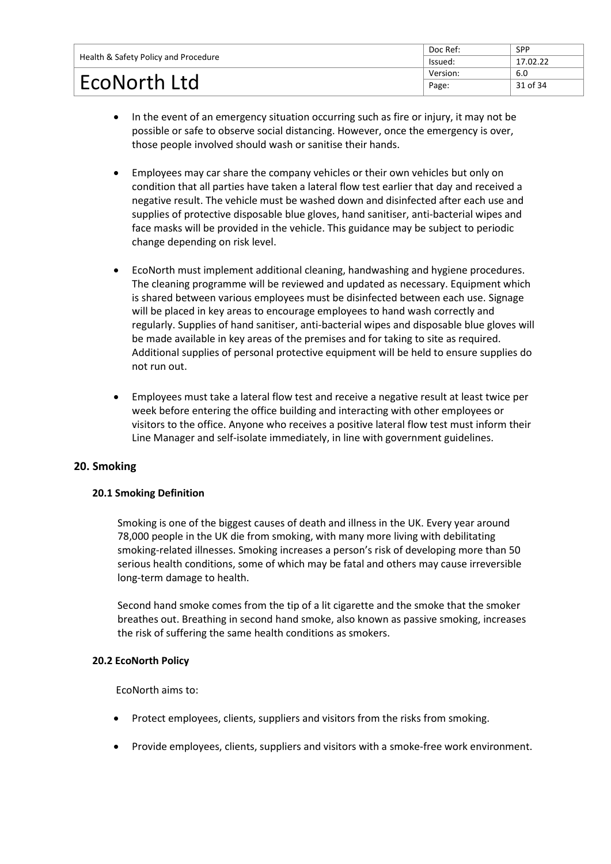|                                      | Doc Ref: | <b>SPP</b> |
|--------------------------------------|----------|------------|
| Health & Safety Policy and Procedure | Issued:  | 17.02.22   |
|                                      | Version: | 6.0        |
| EcoNorth Ltd                         | Page:    | 31 of 34   |

- In the event of an emergency situation occurring such as fire or injury, it may not be possible or safe to observe social distancing. However, once the emergency is over, those people involved should wash or sanitise their hands.
- Employees may car share the company vehicles or their own vehicles but only on condition that all parties have taken a lateral flow test earlier that day and received a negative result. The vehicle must be washed down and disinfected after each use and supplies of protective disposable blue gloves, hand sanitiser, anti-bacterial wipes and face masks will be provided in the vehicle. This guidance may be subject to periodic change depending on risk level.
- EcoNorth must implement additional cleaning, handwashing and hygiene procedures. The cleaning programme will be reviewed and updated as necessary. Equipment which is shared between various employees must be disinfected between each use. Signage will be placed in key areas to encourage employees to hand wash correctly and regularly. Supplies of hand sanitiser, anti-bacterial wipes and disposable blue gloves will be made available in key areas of the premises and for taking to site as required. Additional supplies of personal protective equipment will be held to ensure supplies do not run out.
- Employees must take a lateral flow test and receive a negative result at least twice per week before entering the office building and interacting with other employees or visitors to the office. Anyone who receives a positive lateral flow test must inform their Line Manager and self-isolate immediately, in line with government guidelines.

# **20. Smoking**

# <span id="page-32-0"></span>**20.1 Smoking Definition**

Smoking is one of the biggest causes of death and illness in the UK. Every year around 78,000 people in the UK die from smoking, with many more living with debilitating smoking-related illnesses. Smoking increases a person's risk of developing more than 50 serious health conditions, some of which may be fatal and others may cause irreversible long-term damage to health.

Second hand smoke comes from the tip of a lit cigarette and the smoke that the smoker breathes out. Breathing in second hand smoke, also known as passive smoking, increases the risk of suffering the same health conditions as smokers.

# **20.2 EcoNorth Policy**

EcoNorth aims to:

- Protect employees, clients, suppliers and visitors from the risks from smoking.
- Provide employees, clients, suppliers and visitors with a smoke-free work environment.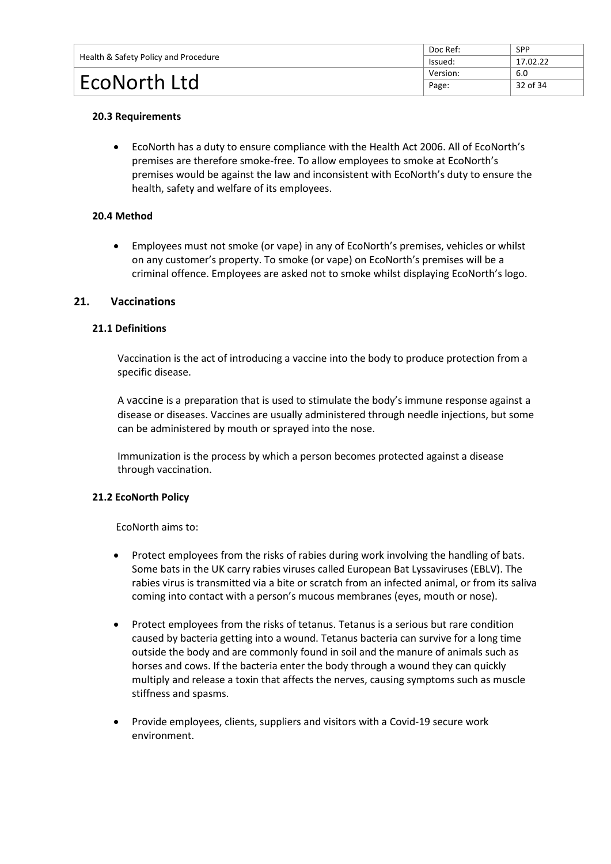|                                      | Doc Ref: | <b>SPP</b> |
|--------------------------------------|----------|------------|
| Health & Safety Policy and Procedure | lssued:  | 17.02.22   |
|                                      | Version: | 6.0        |
| EcoNorth Ltd                         | Page:    | 32 of 34   |

#### **20.3 Requirements**

• EcoNorth has a duty to ensure compliance with the Health Act 2006. All of EcoNorth's premises are therefore smoke-free. To allow employees to smoke at EcoNorth's premises would be against the law and inconsistent with EcoNorth's duty to ensure the health, safety and welfare of its employees.

#### **20.4 Method**

• Employees must not smoke (or vape) in any of EcoNorth's premises, vehicles or whilst on any customer's property. To smoke (or vape) on EcoNorth's premises will be a criminal offence. Employees are asked not to smoke whilst displaying EcoNorth's logo.

#### **21. Vaccinations**

#### <span id="page-33-0"></span>**21.1 Definitions**

Vaccination is the act of introducing a vaccine into the body to produce protection from a specific disease.

A vaccine is a preparation that is used to stimulate the body's immune response against a disease or diseases. Vaccines are usually administered through needle injections, but some can be administered by mouth or sprayed into the nose.

Immunization is the process by which a person becomes protected against a disease through vaccination.

#### **21.2 EcoNorth Policy**

EcoNorth aims to:

- Protect employees from the risks of rabies during work involving the handling of bats. Some bats in the UK carry rabies viruses called European Bat Lyssaviruses (EBLV). The rabies virus is transmitted via a bite or scratch from an infected animal, or from its saliva coming into contact with a person's mucous membranes (eyes, mouth or nose).
- Protect employees from the risks of tetanus. Tetanus is a serious but rare condition caused by bacteria getting into a wound. Tetanus bacteria can survive for a long time outside the body and are commonly found in soil and the manure of animals such as horses and cows. If the bacteria enter the body through a wound they can quickly multiply and release a toxin that affects the nerves, causing symptoms such as muscle stiffness and spasms.
- Provide employees, clients, suppliers and visitors with a Covid-19 secure work environment.